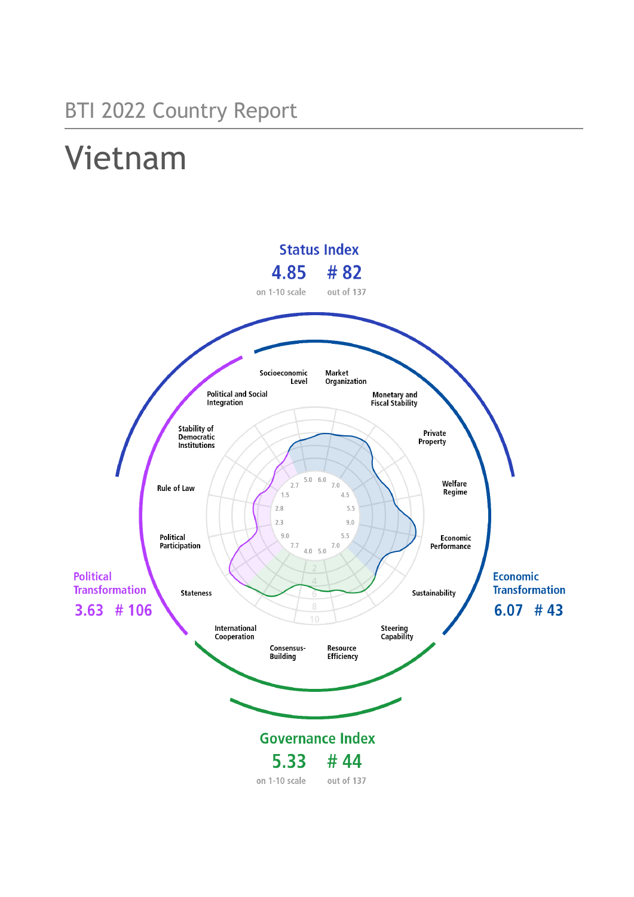## BTI 2022 Country Report

# Vietnam

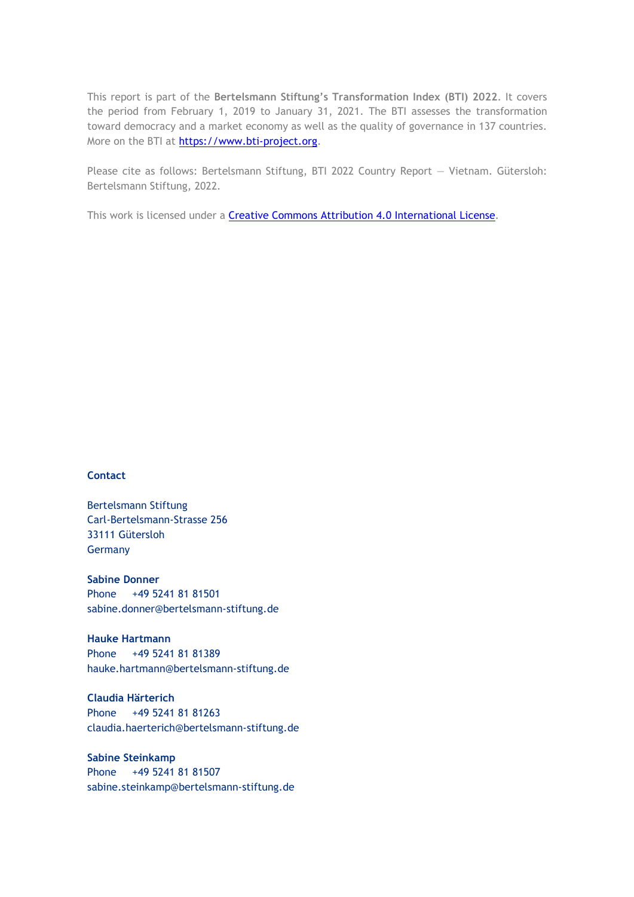This report is part of the **Bertelsmann Stiftung's Transformation Index (BTI) 2022**. It covers the period from February 1, 2019 to January 31, 2021. The BTI assesses the transformation toward democracy and a market economy as well as the quality of governance in 137 countries. More on the BTI at [https://www.bti-project.org.](https://www.bti-project.org/)

Please cite as follows: Bertelsmann Stiftung, BTI 2022 Country Report — Vietnam. Gütersloh: Bertelsmann Stiftung, 2022.

This work is licensed under a **Creative Commons Attribution 4.0 International License**.

#### **Contact**

Bertelsmann Stiftung Carl-Bertelsmann-Strasse 256 33111 Gütersloh Germany

**Sabine Donner** Phone +49 5241 81 81501 sabine.donner@bertelsmann-stiftung.de

**Hauke Hartmann** Phone +49 5241 81 81389 hauke.hartmann@bertelsmann-stiftung.de

**Claudia Härterich** Phone +49 5241 81 81263 claudia.haerterich@bertelsmann-stiftung.de

### **Sabine Steinkamp** Phone +49 5241 81 81507 sabine.steinkamp@bertelsmann-stiftung.de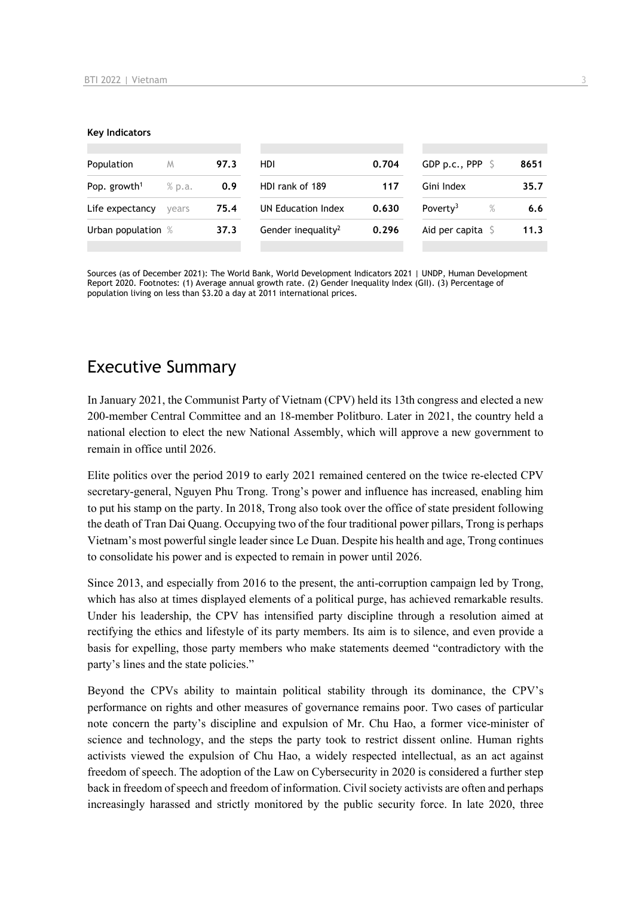#### **Key Indicators**

| Population<br>M          |        | 97.3 | HDI.                           | 0.704 | GDP p.c., PPP $\ S$       | 8651 |
|--------------------------|--------|------|--------------------------------|-------|---------------------------|------|
| Pop. growth <sup>1</sup> | % p.a. | 0.9  | HDI rank of 189                | 117   | Gini Index                | 35.7 |
| Life expectancy          | vears  | 75.4 | UN Education Index             | 0.630 | Poverty <sup>3</sup><br>% | 6.6  |
| Urban population %       |        | 37.3 | Gender inequality <sup>2</sup> | 0.296 | Aid per capita $\sqrt{5}$ | 11.3 |
|                          |        |      |                                |       |                           |      |

Sources (as of December 2021): The World Bank, World Development Indicators 2021 | UNDP, Human Development Report 2020. Footnotes: (1) Average annual growth rate. (2) Gender Inequality Index (GII). (3) Percentage of population living on less than \$3.20 a day at 2011 international prices.

## Executive Summary

In January 2021, the Communist Party of Vietnam (CPV) held its 13th congress and elected a new 200-member Central Committee and an 18-member Politburo. Later in 2021, the country held a national election to elect the new National Assembly, which will approve a new government to remain in office until 2026.

Elite politics over the period 2019 to early 2021 remained centered on the twice re-elected CPV secretary-general, Nguyen Phu Trong. Trong's power and influence has increased, enabling him to put his stamp on the party. In 2018, Trong also took over the office of state president following the death of Tran Dai Quang. Occupying two of the four traditional power pillars, Trong is perhaps Vietnam's most powerful single leader since Le Duan. Despite his health and age, Trong continues to consolidate his power and is expected to remain in power until 2026.

Since 2013, and especially from 2016 to the present, the anti-corruption campaign led by Trong, which has also at times displayed elements of a political purge, has achieved remarkable results. Under his leadership, the CPV has intensified party discipline through a resolution aimed at rectifying the ethics and lifestyle of its party members. Its aim is to silence, and even provide a basis for expelling, those party members who make statements deemed "contradictory with the party's lines and the state policies."

Beyond the CPVs ability to maintain political stability through its dominance, the CPV's performance on rights and other measures of governance remains poor. Two cases of particular note concern the party's discipline and expulsion of Mr. Chu Hao, a former vice-minister of science and technology, and the steps the party took to restrict dissent online. Human rights activists viewed the expulsion of Chu Hao, a widely respected intellectual, as an act against freedom of speech. The adoption of the Law on Cybersecurity in 2020 is considered a further step back in freedom of speech and freedom of information. Civil society activists are often and perhaps increasingly harassed and strictly monitored by the public security force. In late 2020, three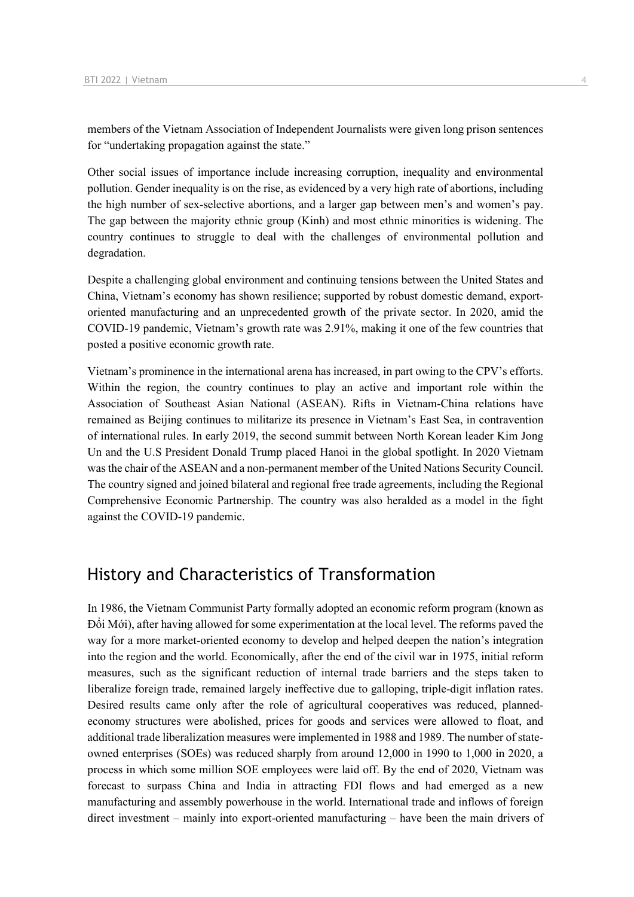members of the Vietnam Association of Independent Journalists were given long prison sentences for "undertaking propagation against the state."

Other social issues of importance include increasing corruption, inequality and environmental pollution. Gender inequality is on the rise, as evidenced by a very high rate of abortions, including the high number of sex-selective abortions, and a larger gap between men's and women's pay. The gap between the majority ethnic group (Kinh) and most ethnic minorities is widening. The country continues to struggle to deal with the challenges of environmental pollution and degradation.

Despite a challenging global environment and continuing tensions between the United States and China, Vietnam's economy has shown resilience; supported by robust domestic demand, exportoriented manufacturing and an unprecedented growth of the private sector. In 2020, amid the COVID-19 pandemic, Vietnam's growth rate was 2.91%, making it one of the few countries that posted a positive economic growth rate.

Vietnam's prominence in the international arena has increased, in part owing to the CPV's efforts. Within the region, the country continues to play an active and important role within the Association of Southeast Asian National (ASEAN). Rifts in Vietnam-China relations have remained as Beijing continues to militarize its presence in Vietnam's East Sea, in contravention of international rules. In early 2019, the second summit between North Korean leader Kim Jong Un and the U.S President Donald Trump placed Hanoi in the global spotlight. In 2020 Vietnam was the chair of the ASEAN and a non-permanent member of the United Nations Security Council. The country signed and joined bilateral and regional free trade agreements, including the Regional Comprehensive Economic Partnership. The country was also heralded as a model in the fight against the COVID-19 pandemic.

## History and Characteristics of Transformation

In 1986, the Vietnam Communist Party formally adopted an economic reform program (known as Đổi Mới), after having allowed for some experimentation at the local level. The reforms paved the way for a more market-oriented economy to develop and helped deepen the nation's integration into the region and the world. Economically, after the end of the civil war in 1975, initial reform measures, such as the significant reduction of internal trade barriers and the steps taken to liberalize foreign trade, remained largely ineffective due to galloping, triple-digit inflation rates. Desired results came only after the role of agricultural cooperatives was reduced, plannedeconomy structures were abolished, prices for goods and services were allowed to float, and additional trade liberalization measures were implemented in 1988 and 1989. The number of stateowned enterprises (SOEs) was reduced sharply from around 12,000 in 1990 to 1,000 in 2020, a process in which some million SOE employees were laid off. By the end of 2020, Vietnam was forecast to surpass China and India in attracting FDI flows and had emerged as a new manufacturing and assembly powerhouse in the world. International trade and inflows of foreign direct investment – mainly into export-oriented manufacturing – have been the main drivers of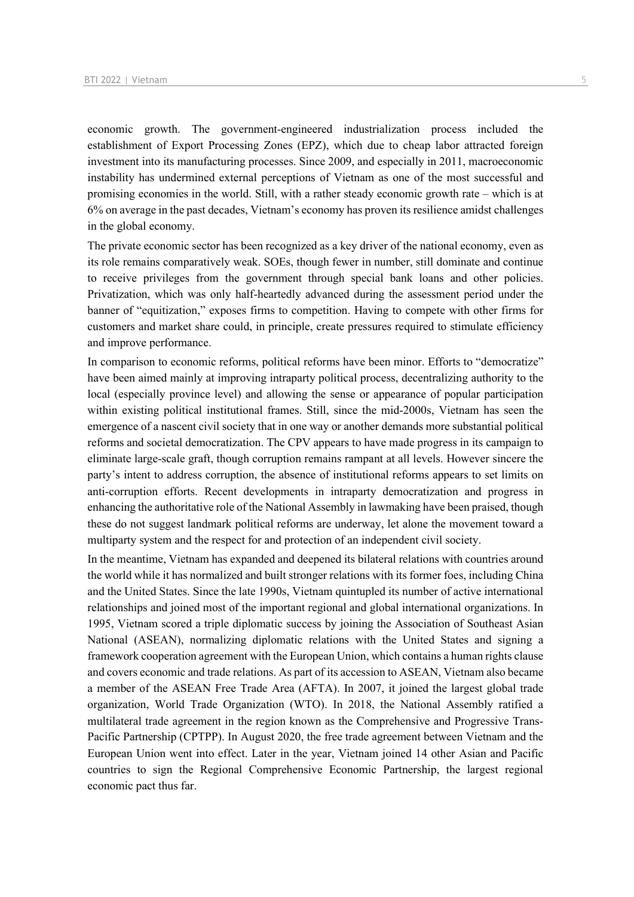economic growth. The government-engineered industrialization process included the establishment of Export Processing Zones (EPZ), which due to cheap labor attracted foreign investment into its manufacturing processes. Since 2009, and especially in 2011, macroeconomic instability has undermined external perceptions of Vietnam as one of the most successful and promising economies in the world. Still, with a rather steady economic growth rate – which is at 6% on average in the past decades, Vietnam's economy has proven its resilience amidst challenges in the global economy.

The private economic sector has been recognized as a key driver of the national economy, even as its role remains comparatively weak. SOEs, though fewer in number, still dominate and continue to receive privileges from the government through special bank loans and other policies. Privatization, which was only half-heartedly advanced during the assessment period under the banner of "equitization," exposes firms to competition. Having to compete with other firms for customers and market share could, in principle, create pressures required to stimulate efficiency and improve performance.

In comparison to economic reforms, political reforms have been minor. Efforts to "democratize" have been aimed mainly at improving intraparty political process, decentralizing authority to the local (especially province level) and allowing the sense or appearance of popular participation within existing political institutional frames. Still, since the mid-2000s, Vietnam has seen the emergence of a nascent civil society that in one way or another demands more substantial political reforms and societal democratization. The CPV appears to have made progress in its campaign to eliminate large-scale graft, though corruption remains rampant at all levels. However sincere the party's intent to address corruption, the absence of institutional reforms appears to set limits on anti-corruption efforts. Recent developments in intraparty democratization and progress in enhancing the authoritative role of the National Assembly in lawmaking have been praised, though these do not suggest landmark political reforms are underway, let alone the movement toward a multiparty system and the respect for and protection of an independent civil society.

In the meantime, Vietnam has expanded and deepened its bilateral relations with countries around the world while it has normalized and built stronger relations with its former foes, including China and the United States. Since the late 1990s, Vietnam quintupled its number of active international relationships and joined most of the important regional and global international organizations. In 1995, Vietnam scored a triple diplomatic success by joining the Association of Southeast Asian National (ASEAN), normalizing diplomatic relations with the United States and signing a framework cooperation agreement with the European Union, which contains a human rights clause and covers economic and trade relations. As part of its accession to ASEAN, Vietnam also became a member of the ASEAN Free Trade Area (AFTA). In 2007, it joined the largest global trade organization, World Trade Organization (WTO). In 2018, the National Assembly ratified a multilateral trade agreement in the region known as the Comprehensive and Progressive Trans-Pacific Partnership (CPTPP). In August 2020, the free trade agreement between Vietnam and the European Union went into effect. Later in the year, Vietnam joined 14 other Asian and Pacific countries to sign the Regional Comprehensive Economic Partnership, the largest regional economic pact thus far.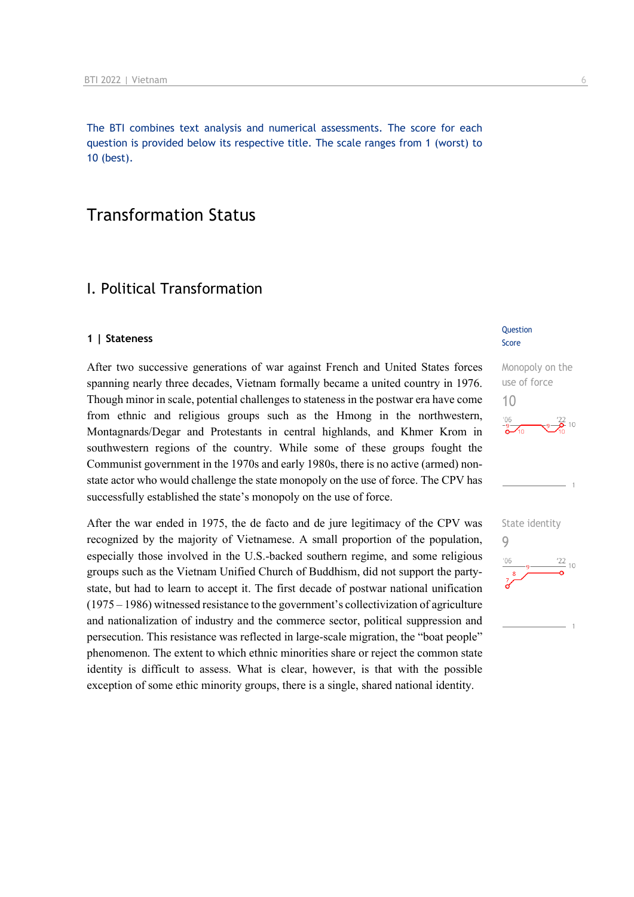The BTI combines text analysis and numerical assessments. The score for each question is provided below its respective title. The scale ranges from 1 (worst) to 10 (best).

## Transformation Status

## I. Political Transformation

#### **1 | Stateness**

After two successive generations of war against French and United States forces spanning nearly three decades, Vietnam formally became a united country in 1976. Though minor in scale, potential challenges to stateness in the postwar era have come from ethnic and religious groups such as the Hmong in the northwestern, Montagnards/Degar and Protestants in central highlands, and Khmer Krom in southwestern regions of the country. While some of these groups fought the Communist government in the 1970s and early 1980s, there is no active (armed) nonstate actor who would challenge the state monopoly on the use of force. The CPV has successfully established the state's monopoly on the use of force.

After the war ended in 1975, the de facto and de jure legitimacy of the CPV was recognized by the majority of Vietnamese. A small proportion of the population, especially those involved in the U.S.-backed southern regime, and some religious groups such as the Vietnam Unified Church of Buddhism, did not support the partystate, but had to learn to accept it. The first decade of postwar national unification (1975 – 1986) witnessed resistance to the government's collectivization of agriculture and nationalization of industry and the commerce sector, political suppression and persecution. This resistance was reflected in large-scale migration, the "boat people" phenomenon. The extent to which ethnic minorities share or reject the common state identity is difficult to assess. What is clear, however, is that with the possible exception of some ethic minority groups, there is a single, shared national identity.

#### **Question** Score

10

Monopoly on the use of force



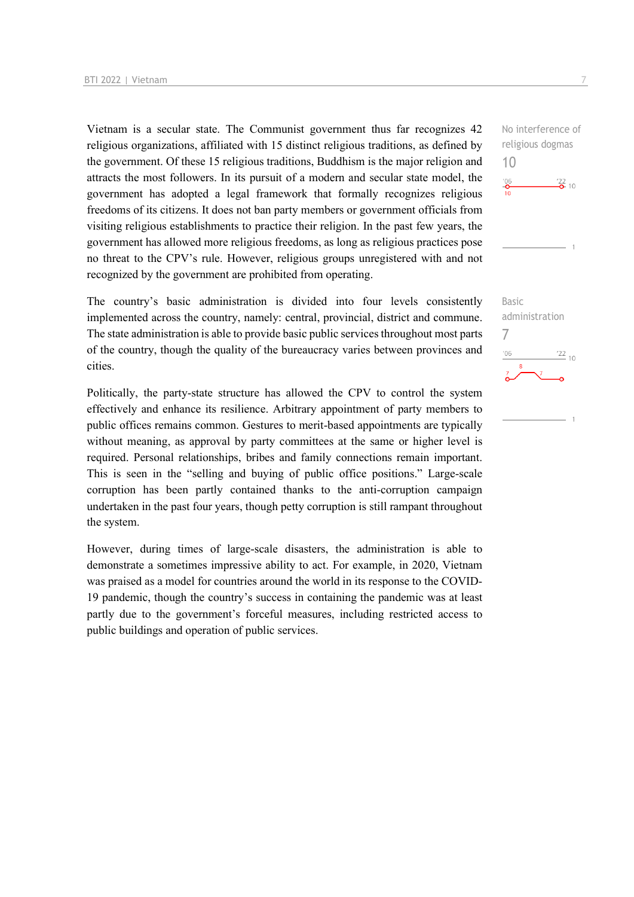Vietnam is a secular state. The Communist government thus far recognizes 42 religious organizations, affiliated with 15 distinct religious traditions, as defined by the government. Of these 15 religious traditions, Buddhism is the major religion and attracts the most followers. In its pursuit of a modern and secular state model, the government has adopted a legal framework that formally recognizes religious freedoms of its citizens. It does not ban party members or government officials from visiting religious establishments to practice their religion. In the past few years, the government has allowed more religious freedoms, as long as religious practices pose no threat to the CPV's rule. However, religious groups unregistered with and not recognized by the government are prohibited from operating.

The country's basic administration is divided into four levels consistently implemented across the country, namely: central, provincial, district and commune. The state administration is able to provide basic public services throughout most parts of the country, though the quality of the bureaucracy varies between provinces and cities.

Politically, the party-state structure has allowed the CPV to control the system effectively and enhance its resilience. Arbitrary appointment of party members to public offices remains common. Gestures to merit-based appointments are typically without meaning, as approval by party committees at the same or higher level is required. Personal relationships, bribes and family connections remain important. This is seen in the "selling and buying of public office positions." Large-scale corruption has been partly contained thanks to the anti-corruption campaign undertaken in the past four years, though petty corruption is still rampant throughout the system.

However, during times of large-scale disasters, the administration is able to demonstrate a sometimes impressive ability to act. For example, in 2020, Vietnam was praised as a model for countries around the world in its response to the COVID-19 pandemic, though the country's success in containing the pandemic was at least partly due to the government's forceful measures, including restricted access to public buildings and operation of public services.

No interference of religious dogmas 10  $\frac{106}{10}$  $\frac{22}{2}$  10

Basic administration 7 $\frac{22}{10}$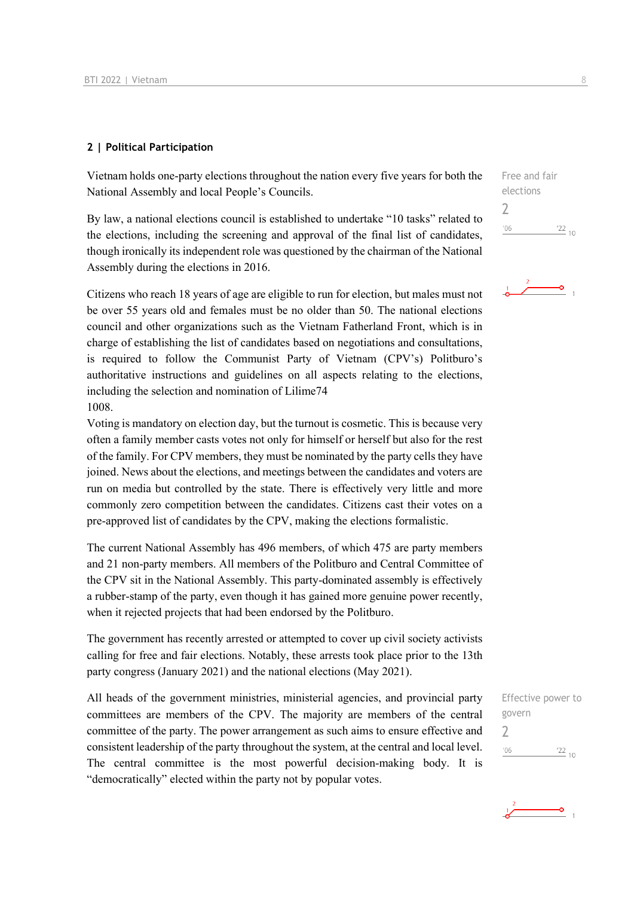#### **2 | Political Participation**

Vietnam holds one-party elections throughout the nation every five years for both the National Assembly and local People's Councils.

By law, a national elections council is established to undertake "10 tasks" related to the elections, including the screening and approval of the final list of candidates, though ironically its independent role was questioned by the chairman of the National Assembly during the elections in 2016.

Citizens who reach 18 years of age are eligible to run for election, but males must not be over 55 years old and females must be no older than 50. The national elections council and other organizations such as the Vietnam Fatherland Front, which is in charge of establishing the list of candidates based on negotiations and consultations, is required to follow the Communist Party of Vietnam (CPV's) Politburo's authoritative instructions and guidelines on all aspects relating to the elections, including the selection and nomination of Lilime74 1008.

Voting is mandatory on election day, but the turnout is cosmetic. This is because very often a family member casts votes not only for himself or herself but also for the rest of the family. For CPV members, they must be nominated by the party cells they have joined. News about the elections, and meetings between the candidates and voters are run on media but controlled by the state. There is effectively very little and more commonly zero competition between the candidates. Citizens cast their votes on a pre-approved list of candidates by the CPV, making the elections formalistic.

The current National Assembly has 496 members, of which 475 are party members and 21 non-party members. All members of the Politburo and Central Committee of the CPV sit in the National Assembly. This party-dominated assembly is effectively a rubber-stamp of the party, even though it has gained more genuine power recently, when it rejected projects that had been endorsed by the Politburo.

The government has recently arrested or attempted to cover up civil society activists calling for free and fair elections. Notably, these arrests took place prior to the 13th party congress (January 2021) and the national elections (May 2021).

All heads of the government ministries, ministerial agencies, and provincial party committees are members of the CPV. The majority are members of the central committee of the party. The power arrangement as such aims to ensure effective and consistent leadership of the party throughout the system, at the central and local level. The central committee is the most powerful decision-making body. It is "democratically" elected within the party not by popular votes.

Free and fair elections 2  $\frac{22}{10}$  $-06$ 





 $\overline{\bullet}$  1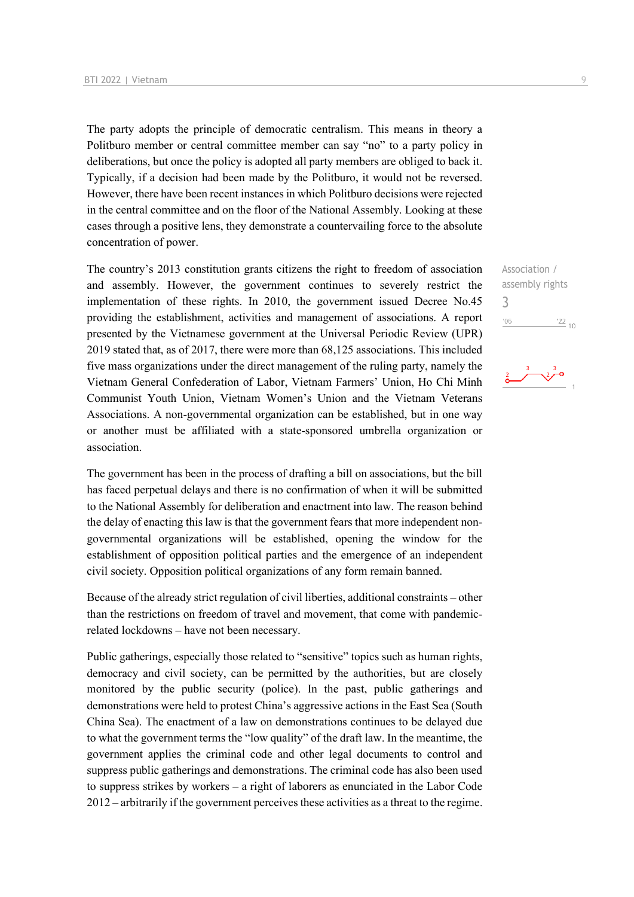The party adopts the principle of democratic centralism. This means in theory a Politburo member or central committee member can say "no" to a party policy in deliberations, but once the policy is adopted all party members are obliged to back it. Typically, if a decision had been made by the Politburo, it would not be reversed. However, there have been recent instances in which Politburo decisions were rejected in the central committee and on the floor of the National Assembly. Looking at these cases through a positive lens, they demonstrate a countervailing force to the absolute concentration of power.

The country's 2013 constitution grants citizens the right to freedom of association and assembly. However, the government continues to severely restrict the implementation of these rights. In 2010, the government issued Decree No.45 providing the establishment, activities and management of associations. A report presented by the Vietnamese government at the Universal Periodic Review (UPR) 2019 stated that, as of 2017, there were more than 68,125 associations. This included five mass organizations under the direct management of the ruling party, namely the Vietnam General Confederation of Labor, Vietnam Farmers' Union, Ho Chi Minh Communist Youth Union, Vietnam Women's Union and the Vietnam Veterans Associations. A non-governmental organization can be established, but in one way or another must be affiliated with a state-sponsored umbrella organization or association.

The government has been in the process of drafting a bill on associations, but the bill has faced perpetual delays and there is no confirmation of when it will be submitted to the National Assembly for deliberation and enactment into law. The reason behind the delay of enacting this law is that the government fears that more independent nongovernmental organizations will be established, opening the window for the establishment of opposition political parties and the emergence of an independent civil society. Opposition political organizations of any form remain banned.

Because of the already strict regulation of civil liberties, additional constraints – other than the restrictions on freedom of travel and movement, that come with pandemicrelated lockdowns – have not been necessary.

Public gatherings, especially those related to "sensitive" topics such as human rights, democracy and civil society, can be permitted by the authorities, but are closely monitored by the public security (police). In the past, public gatherings and demonstrations were held to protest China's aggressive actions in the East Sea (South China Sea). The enactment of a law on demonstrations continues to be delayed due to what the government terms the "low quality" of the draft law. In the meantime, the government applies the criminal code and other legal documents to control and suppress public gatherings and demonstrations. The criminal code has also been used to suppress strikes by workers – a right of laborers as enunciated in the Labor Code 2012 – arbitrarily if the government perceives these activities as a threat to the regime.

Association / assembly rights 3 $'06$  $\frac{22}{10}$ 

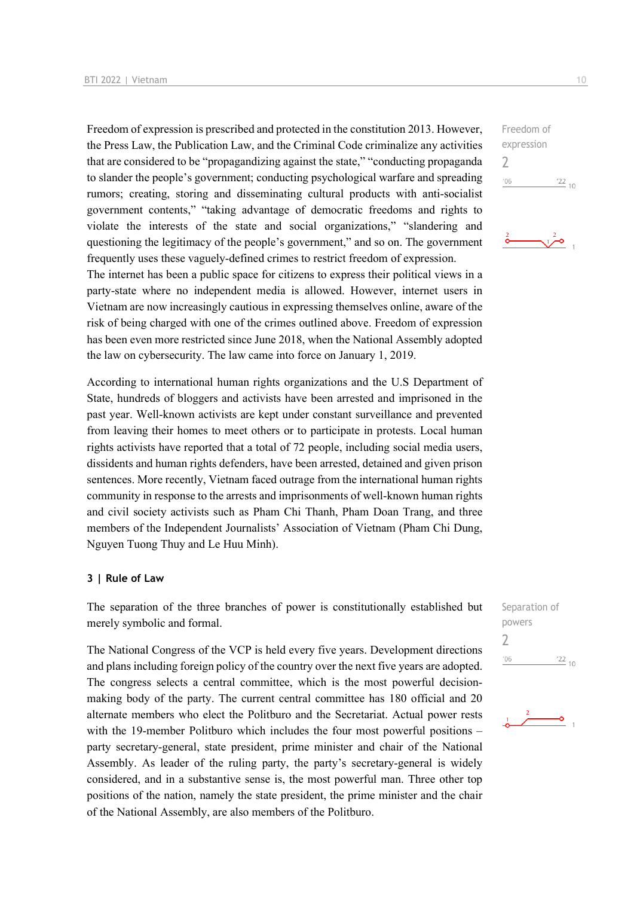Freedom of expression is prescribed and protected in the constitution 2013. However, the Press Law, the Publication Law, and the Criminal Code criminalize any activities that are considered to be "propagandizing against the state," "conducting propaganda to slander the people's government; conducting psychological warfare and spreading rumors; creating, storing and disseminating cultural products with anti-socialist government contents," "taking advantage of democratic freedoms and rights to violate the interests of the state and social organizations," "slandering and questioning the legitimacy of the people's government," and so on. The government frequently uses these vaguely-defined crimes to restrict freedom of expression. The internet has been a public space for citizens to express their political views in a party-state where no independent media is allowed. However, internet users in Vietnam are now increasingly cautious in expressing themselves online, aware of the risk of being charged with one of the crimes outlined above. Freedom of expression has been even more restricted since June 2018, when the National Assembly adopted

According to international human rights organizations and the U.S Department of State, hundreds of bloggers and activists have been arrested and imprisoned in the past year. Well-known activists are kept under constant surveillance and prevented from leaving their homes to meet others or to participate in protests. Local human rights activists have reported that a total of 72 people, including social media users, dissidents and human rights defenders, have been arrested, detained and given prison sentences. More recently, Vietnam faced outrage from the international human rights community in response to the arrests and imprisonments of well-known human rights and civil society activists such as Pham Chi Thanh, Pham Doan Trang, and three members of the Independent Journalists' Association of Vietnam (Pham Chi Dung, Nguyen Tuong Thuy and Le Huu Minh).

the law on cybersecurity. The law came into force on January 1, 2019.

#### **3 | Rule of Law**

The separation of the three branches of power is constitutionally established but merely symbolic and formal.

The National Congress of the VCP is held every five years. Development directions and plans including foreign policy of the country over the next five years are adopted. The congress selects a central committee, which is the most powerful decisionmaking body of the party. The current central committee has 180 official and 20 alternate members who elect the Politburo and the Secretariat. Actual power rests with the 19-member Politburo which includes the four most powerful positions – party secretary-general, state president, prime minister and chair of the National Assembly. As leader of the ruling party, the party's secretary-general is widely considered, and in a substantive sense is, the most powerful man. Three other top positions of the nation, namely the state president, the prime minister and the chair of the National Assembly, are also members of the Politburo.

Freedom of expression 2  $-06$  $\frac{22}{10}$ 





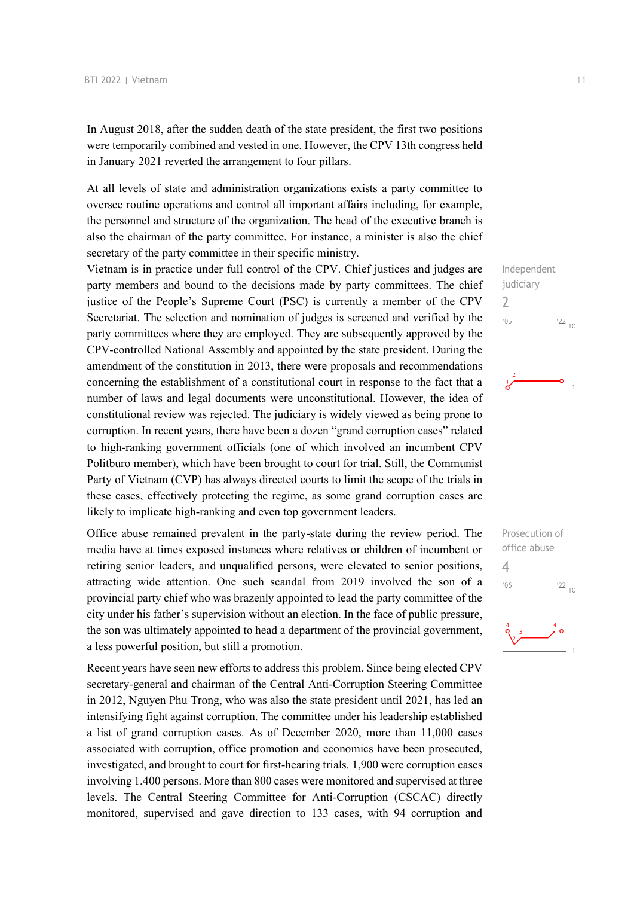In August 2018, after the sudden death of the state president, the first two positions were temporarily combined and vested in one. However, the CPV 13th congress held in January 2021 reverted the arrangement to four pillars.

At all levels of state and administration organizations exists a party committee to oversee routine operations and control all important affairs including, for example, the personnel and structure of the organization. The head of the executive branch is also the chairman of the party committee. For instance, a minister is also the chief secretary of the party committee in their specific ministry.

Vietnam is in practice under full control of the CPV. Chief justices and judges are party members and bound to the decisions made by party committees. The chief justice of the People's Supreme Court (PSC) is currently a member of the CPV Secretariat. The selection and nomination of judges is screened and verified by the party committees where they are employed. They are subsequently approved by the CPV-controlled National Assembly and appointed by the state president. During the amendment of the constitution in 2013, there were proposals and recommendations concerning the establishment of a constitutional court in response to the fact that a number of laws and legal documents were unconstitutional. However, the idea of constitutional review was rejected. The judiciary is widely viewed as being prone to corruption. In recent years, there have been a dozen "grand corruption cases" related to high-ranking government officials (one of which involved an incumbent CPV Politburo member), which have been brought to court for trial. Still, the Communist Party of Vietnam (CVP) has always directed courts to limit the scope of the trials in these cases, effectively protecting the regime, as some grand corruption cases are likely to implicate high-ranking and even top government leaders.

Office abuse remained prevalent in the party-state during the review period. The media have at times exposed instances where relatives or children of incumbent or retiring senior leaders, and unqualified persons, were elevated to senior positions, attracting wide attention. One such scandal from 2019 involved the son of a provincial party chief who was brazenly appointed to lead the party committee of the city under his father's supervision without an election. In the face of public pressure, the son was ultimately appointed to head a department of the provincial government, a less powerful position, but still a promotion.

Recent years have seen new efforts to address this problem. Since being elected CPV secretary-general and chairman of the Central Anti-Corruption Steering Committee in 2012, Nguyen Phu Trong, who was also the state president until 2021, has led an intensifying fight against corruption. The committee under his leadership established a list of grand corruption cases. As of December 2020, more than 11,000 cases associated with corruption, office promotion and economics have been prosecuted, investigated, and brought to court for first-hearing trials. 1,900 were corruption cases involving 1,400 persons. More than 800 cases were monitored and supervised at three levels. The Central Steering Committee for Anti-Corruption (CSCAC) directly monitored, supervised and gave direction to 133 cases, with 94 corruption and

Independent judiciary  $\overline{\phantom{0}}$  $^{\prime}06$  $\frac{22}{10}$ 



Prosecution of office abuse 4 $06'$  $\frac{22}{10}$ 

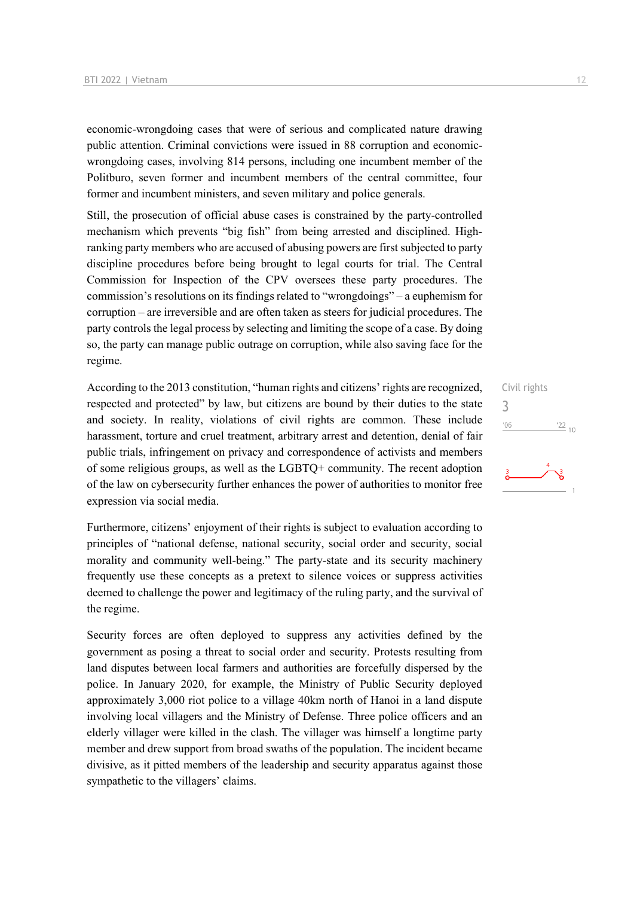economic-wrongdoing cases that were of serious and complicated nature drawing public attention. Criminal convictions were issued in 88 corruption and economicwrongdoing cases, involving 814 persons, including one incumbent member of the Politburo, seven former and incumbent members of the central committee, four former and incumbent ministers, and seven military and police generals.

Still, the prosecution of official abuse cases is constrained by the party-controlled mechanism which prevents "big fish" from being arrested and disciplined. Highranking party members who are accused of abusing powers are first subjected to party discipline procedures before being brought to legal courts for trial. The Central Commission for Inspection of the CPV oversees these party procedures. The commission's resolutions on its findings related to "wrongdoings" – a euphemism for corruption – are irreversible and are often taken as steers for judicial procedures. The party controls the legal process by selecting and limiting the scope of a case. By doing so, the party can manage public outrage on corruption, while also saving face for the regime.

According to the 2013 constitution, "human rights and citizens' rights are recognized, respected and protected" by law, but citizens are bound by their duties to the state and society. In reality, violations of civil rights are common. These include harassment, torture and cruel treatment, arbitrary arrest and detention, denial of fair public trials, infringement on privacy and correspondence of activists and members of some religious groups, as well as the LGBTQ+ community. The recent adoption of the law on cybersecurity further enhances the power of authorities to monitor free expression via social media.

Furthermore, citizens' enjoyment of their rights is subject to evaluation according to principles of "national defense, national security, social order and security, social morality and community well-being." The party-state and its security machinery frequently use these concepts as a pretext to silence voices or suppress activities deemed to challenge the power and legitimacy of the ruling party, and the survival of the regime.

Security forces are often deployed to suppress any activities defined by the government as posing a threat to social order and security. Protests resulting from land disputes between local farmers and authorities are forcefully dispersed by the police. In January 2020, for example, the Ministry of Public Security deployed approximately 3,000 riot police to a village 40km north of Hanoi in a land dispute involving local villagers and the Ministry of Defense. Three police officers and an elderly villager were killed in the clash. The villager was himself a longtime party member and drew support from broad swaths of the population. The incident became divisive, as it pitted members of the leadership and security apparatus against those sympathetic to the villagers' claims.

Civil rights 3 $^{\prime}06$  $\frac{22}{10}$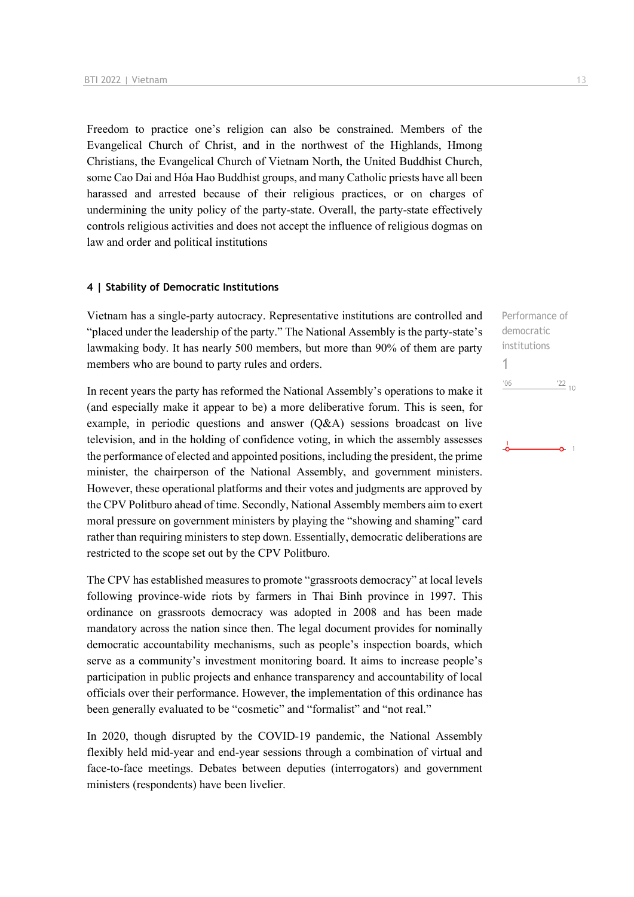Freedom to practice one's religion can also be constrained. Members of the Evangelical Church of Christ, and in the northwest of the Highlands, Hmong Christians, the Evangelical Church of Vietnam North, the United Buddhist Church, some Cao Dai and Hóa Hao Buddhist groups, and many Catholic priests have all been harassed and arrested because of their religious practices, or on charges of undermining the unity policy of the party-state. Overall, the party-state effectively controls religious activities and does not accept the influence of religious dogmas on law and order and political institutions

#### **4 | Stability of Democratic Institutions**

Vietnam has a single-party autocracy. Representative institutions are controlled and "placed under the leadership of the party." The National Assembly is the party-state's lawmaking body. It has nearly 500 members, but more than 90% of them are party members who are bound to party rules and orders.

In recent years the party has reformed the National Assembly's operations to make it (and especially make it appear to be) a more deliberative forum. This is seen, for example, in periodic questions and answer (Q&A) sessions broadcast on live television, and in the holding of confidence voting, in which the assembly assesses the performance of elected and appointed positions, including the president, the prime minister, the chairperson of the National Assembly, and government ministers. However, these operational platforms and their votes and judgments are approved by the CPV Politburo ahead of time. Secondly, National Assembly members aim to exert moral pressure on government ministers by playing the "showing and shaming" card rather than requiring ministers to step down. Essentially, democratic deliberations are restricted to the scope set out by the CPV Politburo.

The CPV has established measures to promote "grassroots democracy" at local levels following province-wide riots by farmers in Thai Binh province in 1997. This ordinance on grassroots democracy was adopted in 2008 and has been made mandatory across the nation since then. The legal document provides for nominally democratic accountability mechanisms, such as people's inspection boards, which serve as a community's investment monitoring board. It aims to increase people's participation in public projects and enhance transparency and accountability of local officials over their performance. However, the implementation of this ordinance has been generally evaluated to be "cosmetic" and "formalist" and "not real."

In 2020, though disrupted by the COVID-19 pandemic, the National Assembly flexibly held mid-year and end-year sessions through a combination of virtual and face-to-face meetings. Debates between deputies (interrogators) and government ministers (respondents) have been livelier.

Performance of democratic institutions 1 $06'$  $22_{10}$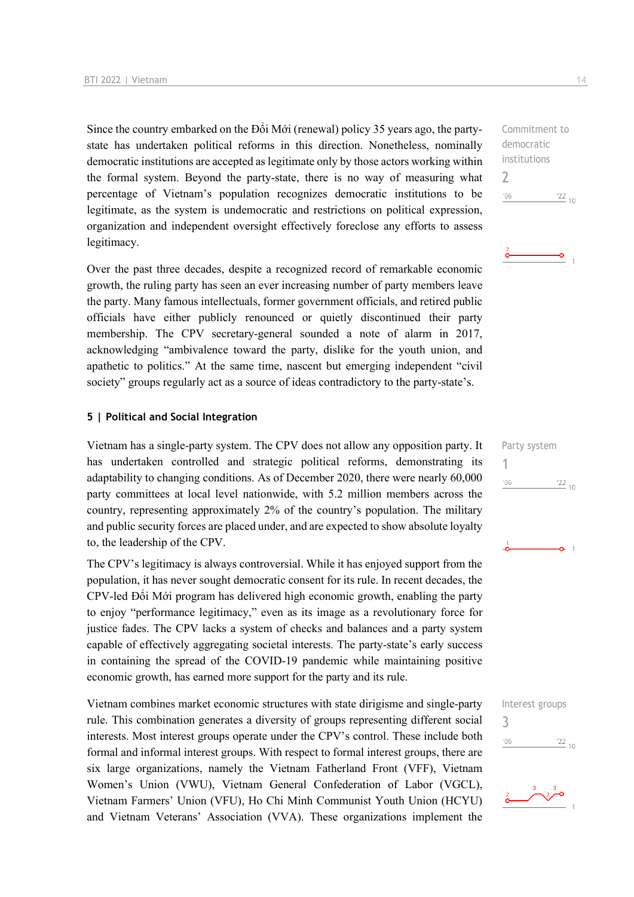Since the country embarked on the Đổi Mới (renewal) policy 35 years ago, the partystate has undertaken political reforms in this direction. Nonetheless, nominally democratic institutions are accepted as legitimate only by those actors working within the formal system. Beyond the party-state, there is no way of measuring what percentage of Vietnam's population recognizes democratic institutions to be legitimate, as the system is undemocratic and restrictions on political expression, organization and independent oversight effectively foreclose any efforts to assess legitimacy.

Over the past three decades, despite a recognized record of remarkable economic growth, the ruling party has seen an ever increasing number of party members leave the party. Many famous intellectuals, former government officials, and retired public officials have either publicly renounced or quietly discontinued their party membership. The CPV secretary-general sounded a note of alarm in 2017, acknowledging "ambivalence toward the party, dislike for the youth union, and apathetic to politics." At the same time, nascent but emerging independent "civil society" groups regularly act as a source of ideas contradictory to the party-state's.

#### **5 | Political and Social Integration**

Vietnam has a single-party system. The CPV does not allow any opposition party. It has undertaken controlled and strategic political reforms, demonstrating its adaptability to changing conditions. As of December 2020, there were nearly 60,000 party committees at local level nationwide, with 5.2 million members across the country, representing approximately 2% of the country's population. The military and public security forces are placed under, and are expected to show absolute loyalty to, the leadership of the CPV.

The CPV's legitimacy is always controversial. While it has enjoyed support from the population, it has never sought democratic consent for its rule. In recent decades, the CPV-led Đổi Mới program has delivered high economic growth, enabling the party to enjoy "performance legitimacy," even as its image as a revolutionary force for justice fades. The CPV lacks a system of checks and balances and a party system capable of effectively aggregating societal interests. The party-state's early success in containing the spread of the COVID-19 pandemic while maintaining positive economic growth, has earned more support for the party and its rule.

Vietnam combines market economic structures with state dirigisme and single-party rule. This combination generates a diversity of groups representing different social interests. Most interest groups operate under the CPV's control. These include both formal and informal interest groups. With respect to formal interest groups, there are six large organizations, namely the Vietnam Fatherland Front (VFF), Vietnam Women's Union (VWU), Vietnam General Confederation of Labor (VGCL), Vietnam Farmers' Union (VFU), Ho Chi Minh Communist Youth Union (HCYU) and Vietnam Veterans' Association (VVA). These organizations implement the

Commitment to democratic institutions  $\overline{\phantom{0}}$  $-06$  $\frac{22}{10}$ 

|     | Party system     |  |
|-----|------------------|--|
| '06 | $\frac{122}{10}$ |  |
|     |                  |  |
|     |                  |  |
|     |                  |  |

Interest groups 3 $06'$  $\frac{22}{10}$ 

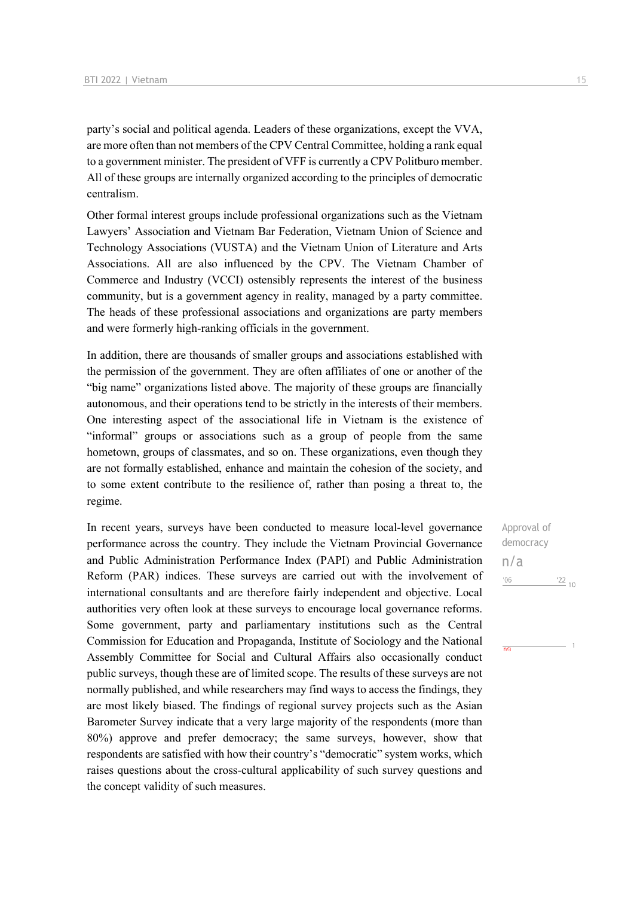party's social and political agenda. Leaders of these organizations, except the VVA, are more often than not members of the CPV Central Committee, holding a rank equal to a government minister. The president of VFF is currently a CPV Politburo member. All of these groups are internally organized according to the principles of democratic centralism.

Other formal interest groups include professional organizations such as the Vietnam Lawyers' Association and Vietnam Bar Federation, Vietnam Union of Science and Technology Associations (VUSTA) and the Vietnam Union of Literature and Arts Associations. All are also influenced by the CPV. The Vietnam Chamber of Commerce and Industry (VCCI) ostensibly represents the interest of the business community, but is a government agency in reality, managed by a party committee. The heads of these professional associations and organizations are party members and were formerly high-ranking officials in the government.

In addition, there are thousands of smaller groups and associations established with the permission of the government. They are often affiliates of one or another of the "big name" organizations listed above. The majority of these groups are financially autonomous, and their operations tend to be strictly in the interests of their members. One interesting aspect of the associational life in Vietnam is the existence of "informal" groups or associations such as a group of people from the same hometown, groups of classmates, and so on. These organizations, even though they are not formally established, enhance and maintain the cohesion of the society, and to some extent contribute to the resilience of, rather than posing a threat to, the regime.

In recent years, surveys have been conducted to measure local-level governance performance across the country. They include the Vietnam Provincial Governance and Public Administration Performance Index (PAPI) and Public Administration Reform (PAR) indices. These surveys are carried out with the involvement of international consultants and are therefore fairly independent and objective. Local authorities very often look at these surveys to encourage local governance reforms. Some government, party and parliamentary institutions such as the Central Commission for Education and Propaganda, Institute of Sociology and the National Assembly Committee for Social and Cultural Affairs also occasionally conduct public surveys, though these are of limited scope. The results of these surveys are not normally published, and while researchers may find ways to access the findings, they are most likely biased. The findings of regional survey projects such as the Asian Barometer Survey indicate that a very large majority of the respondents (more than 80%) approve and prefer democracy; the same surveys, however, show that respondents are satisfied with how their country's "democratic" system works, which raises questions about the cross-cultural applicability of such survey questions and the concept validity of such measures.

Approval of democracy n/a $^{\prime}06$  $\frac{22}{10}$ 

 $\overline{h}$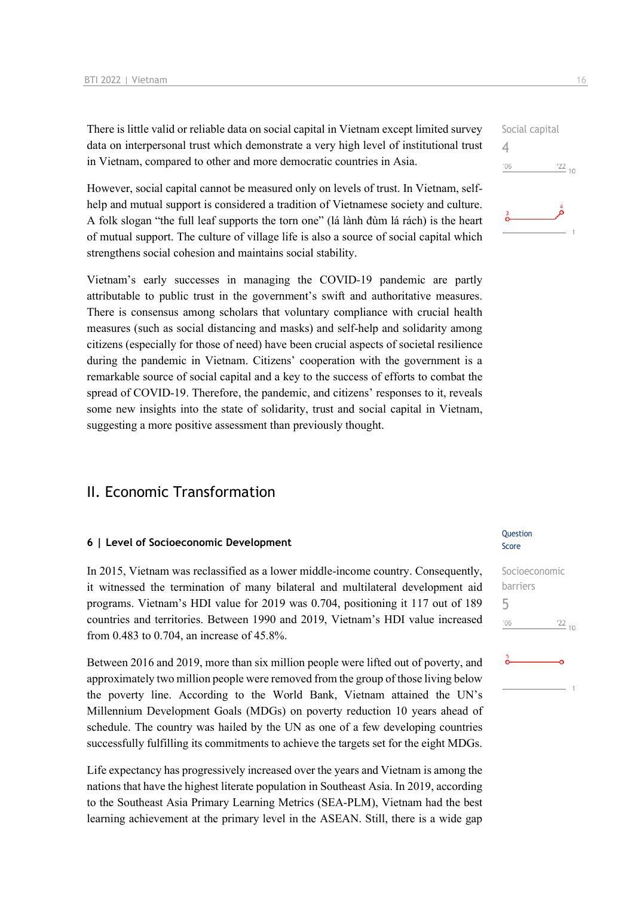There is little valid or reliable data on social capital in Vietnam except limited survey data on interpersonal trust which demonstrate a very high level of institutional trust in Vietnam, compared to other and more democratic countries in Asia.

However, social capital cannot be measured only on levels of trust. In Vietnam, selfhelp and mutual support is considered a tradition of Vietnamese society and culture. A folk slogan "the full leaf supports the torn one" (lá lành đùm lá rách) is the heart of mutual support. The culture of village life is also a source of social capital which strengthens social cohesion and maintains social stability.

Vietnam's early successes in managing the COVID-19 pandemic are partly attributable to public trust in the government's swift and authoritative measures. There is consensus among scholars that voluntary compliance with crucial health measures (such as social distancing and masks) and self-help and solidarity among citizens (especially for those of need) have been crucial aspects of societal resilience during the pandemic in Vietnam. Citizens' cooperation with the government is a remarkable source of social capital and a key to the success of efforts to combat the spread of COVID-19. Therefore, the pandemic, and citizens' responses to it, reveals some new insights into the state of solidarity, trust and social capital in Vietnam, suggesting a more positive assessment than previously thought.

## II. Economic Transformation

#### **6 | Level of Socioeconomic Development**

In 2015, Vietnam was reclassified as a lower middle-income country. Consequently, it witnessed the termination of many bilateral and multilateral development aid programs. Vietnam's HDI value for 2019 was 0.704, positioning it 117 out of 189 countries and territories. Between 1990 and 2019, Vietnam's HDI value increased from 0.483 to 0.704, an increase of 45.8%.

Between 2016 and 2019, more than six million people were lifted out of poverty, and approximately two million people were removed from the group of those living below the poverty line. According to the World Bank, Vietnam attained the UN's Millennium Development Goals (MDGs) on poverty reduction 10 years ahead of schedule. The country was hailed by the UN as one of a few developing countries successfully fulfilling its commitments to achieve the targets set for the eight MDGs.

Life expectancy has progressively increased over the years and Vietnam is among the nations that have the highest literate population in Southeast Asia. In 2019, according to the Southeast Asia Primary Learning Metrics (SEA-PLM), Vietnam had the best learning achievement at the primary level in the ASEAN. Still, there is a wide gap

#### **Question** Score

Socioeconomic barriers 5 $^{\prime}06$  $\frac{22}{10}$ 

4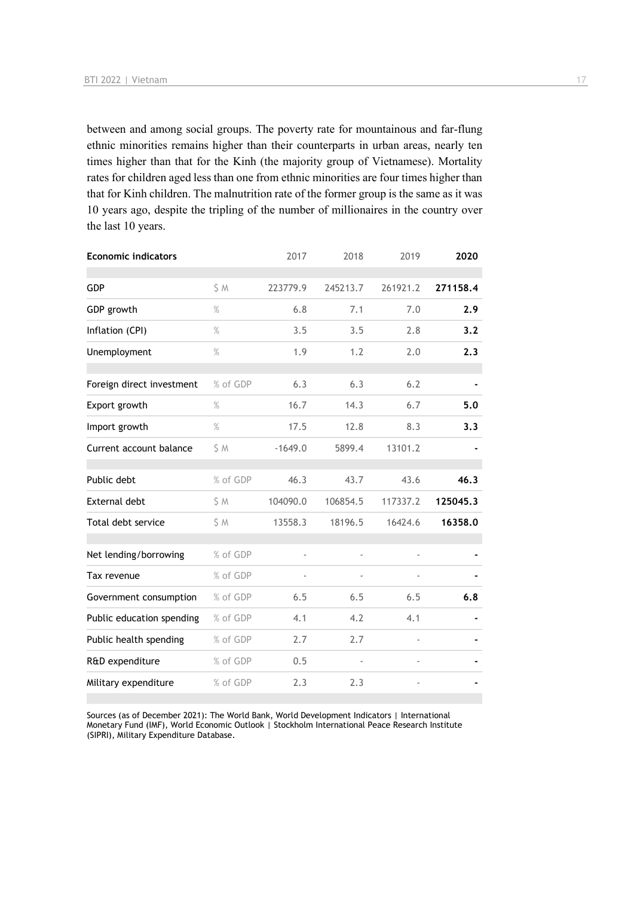between and among social groups. The poverty rate for mountainous and far-flung ethnic minorities remains higher than their counterparts in urban areas, nearly ten times higher than that for the Kinh (the majority group of Vietnamese). Mortality rates for children aged less than one from ethnic minorities are four times higher than that for Kinh children. The malnutrition rate of the former group is the same as it was 10 years ago, despite the tripling of the number of millionaires in the country over the last 10 years.

| <b>Economic indicators</b> |          | 2017      | 2018          | 2019     | 2020     |
|----------------------------|----------|-----------|---------------|----------|----------|
| GDP                        | \$ M     | 223779.9  | 245213.7      | 261921.2 | 271158.4 |
| GDP growth                 | %        | 6.8       | 7.1           | 7.0      | 2.9      |
| Inflation (CPI)            | $\%$     | 3.5       | 3.5           | 2.8      | 3.2      |
| Unemployment               | $\%$     | 1.9       | 1.2           | 2.0      | 2.3      |
| Foreign direct investment  | % of GDP | 6.3       | 6.3           | 6.2      |          |
| Export growth              | %        | 16.7      | 14.3          | 6.7      | 5.0      |
| Import growth              | $\%$     | 17.5      | 12.8          | 8.3      | 3.3      |
| Current account balance    | \$ M     | $-1649.0$ | 5899.4        | 13101.2  |          |
| Public debt                | % of GDP | 46.3      | 43.7          | 43.6     | 46.3     |
| External debt              | \$ M     | 104090.0  | 106854.5      | 117337.2 | 125045.3 |
| Total debt service         | \$ M     | 13558.3   | 18196.5       | 16424.6  | 16358.0  |
| Net lending/borrowing      | % of GDP | ÷,        | $\frac{1}{2}$ |          |          |
| Tax revenue                | % of GDP |           | ä,            |          |          |
| Government consumption     | % of GDP | 6.5       | 6.5           | 6.5      | 6.8      |
| Public education spending  | % of GDP | 4.1       | 4.2           | 4.1      |          |
| Public health spending     | % of GDP | 2.7       | 2.7           |          |          |
| R&D expenditure            | % of GDP | 0.5       |               |          |          |
| Military expenditure       | % of GDP | 2.3       | 2.3           |          |          |

Sources (as of December 2021): The World Bank, World Development Indicators | International Monetary Fund (IMF), World Economic Outlook | Stockholm International Peace Research Institute (SIPRI), Military Expenditure Database.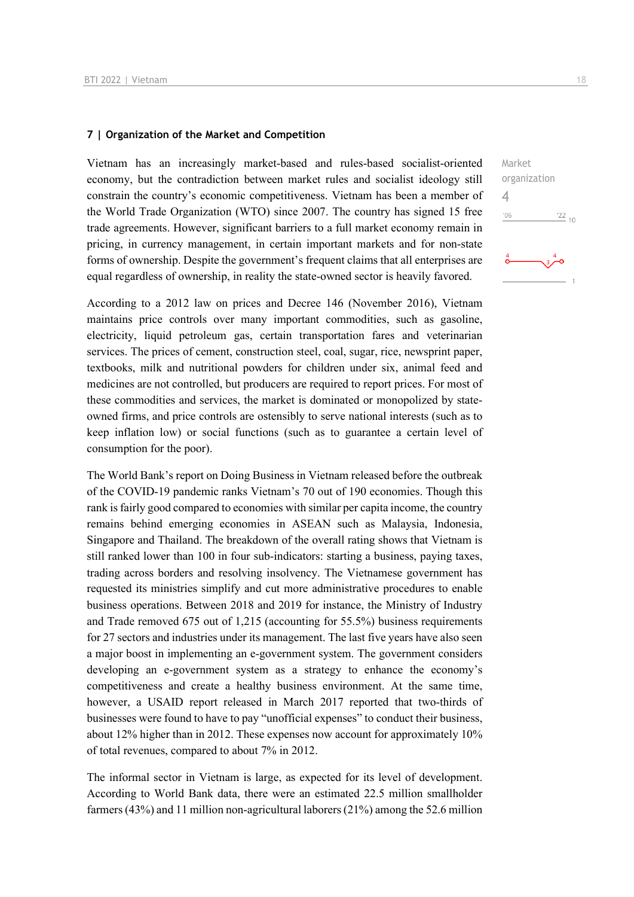#### **7 | Organization of the Market and Competition**

Vietnam has an increasingly market-based and rules-based socialist-oriented economy, but the contradiction between market rules and socialist ideology still constrain the country's economic competitiveness. Vietnam has been a member of the World Trade Organization (WTO) since 2007. The country has signed 15 free trade agreements. However, significant barriers to a full market economy remain in pricing, in currency management, in certain important markets and for non-state forms of ownership. Despite the government's frequent claims that all enterprises are equal regardless of ownership, in reality the state-owned sector is heavily favored.

According to a 2012 law on prices and Decree 146 (November 2016), Vietnam maintains price controls over many important commodities, such as gasoline, electricity, liquid petroleum gas, certain transportation fares and veterinarian services. The prices of cement, construction steel, coal, sugar, rice, newsprint paper, textbooks, milk and nutritional powders for children under six, animal feed and medicines are not controlled, but producers are required to report prices. For most of these commodities and services, the market is dominated or monopolized by stateowned firms, and price controls are ostensibly to serve national interests (such as to keep inflation low) or social functions (such as to guarantee a certain level of consumption for the poor).

The World Bank's report on Doing Business in Vietnam released before the outbreak of the COVID-19 pandemic ranks Vietnam's 70 out of 190 economies. Though this rank is fairly good compared to economies with similar per capita income, the country remains behind emerging economies in ASEAN such as Malaysia, Indonesia, Singapore and Thailand. The breakdown of the overall rating shows that Vietnam is still ranked lower than 100 in four sub-indicators: starting a business, paying taxes, trading across borders and resolving insolvency. The Vietnamese government has requested its ministries simplify and cut more administrative procedures to enable business operations. Between 2018 and 2019 for instance, the Ministry of Industry and Trade removed 675 out of 1,215 (accounting for 55.5%) business requirements for 27 sectors and industries under its management. The last five years have also seen a major boost in implementing an e-government system. The government considers developing an e-government system as a strategy to enhance the economy's competitiveness and create a healthy business environment. At the same time, however, a USAID report released in March 2017 reported that two-thirds of businesses were found to have to pay "unofficial expenses" to conduct their business, about 12% higher than in 2012. These expenses now account for approximately 10% of total revenues, compared to about 7% in 2012.

The informal sector in Vietnam is large, as expected for its level of development. According to World Bank data, there were an estimated 22.5 million smallholder farmers (43%) and 11 million non-agricultural laborers (21%) among the 52.6 million  $\frac{22}{10}$ 

Market organization

4

 $-06$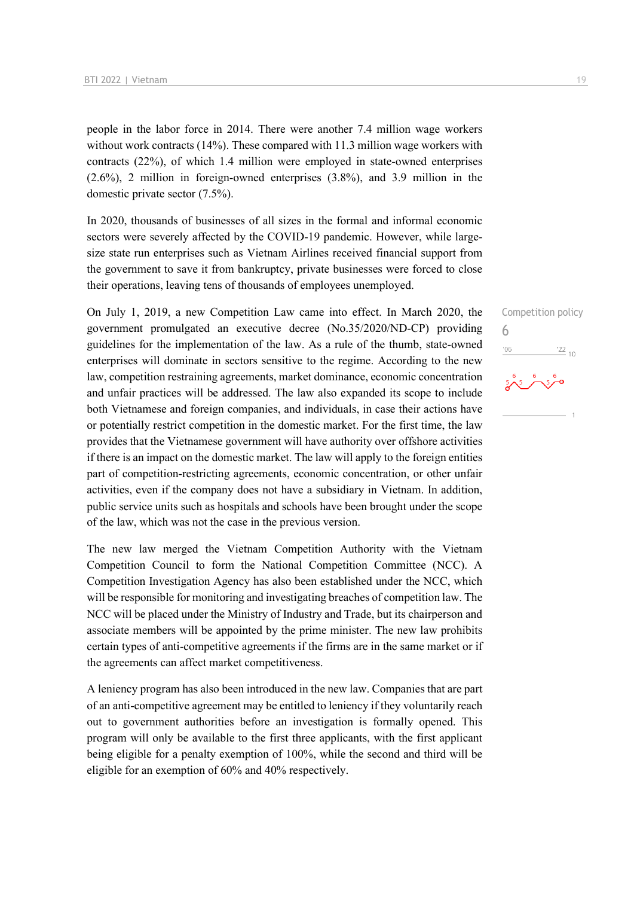people in the labor force in 2014. There were another 7.4 million wage workers without work contracts (14%). These compared with 11.3 million wage workers with contracts (22%), of which 1.4 million were employed in state-owned enterprises (2.6%), 2 million in foreign-owned enterprises (3.8%), and 3.9 million in the domestic private sector (7.5%).

In 2020, thousands of businesses of all sizes in the formal and informal economic sectors were severely affected by the COVID-19 pandemic. However, while largesize state run enterprises such as Vietnam Airlines received financial support from the government to save it from bankruptcy, private businesses were forced to close their operations, leaving tens of thousands of employees unemployed.

On July 1, 2019, a new Competition Law came into effect. In March 2020, the government promulgated an executive decree (No.35/2020/ND-CP) providing guidelines for the implementation of the law. As a rule of the thumb, state-owned enterprises will dominate in sectors sensitive to the regime. According to the new law, competition restraining agreements, market dominance, economic concentration and unfair practices will be addressed. The law also expanded its scope to include both Vietnamese and foreign companies, and individuals, in case their actions have or potentially restrict competition in the domestic market. For the first time, the law provides that the Vietnamese government will have authority over offshore activities if there is an impact on the domestic market. The law will apply to the foreign entities part of competition-restricting agreements, economic concentration, or other unfair activities, even if the company does not have a subsidiary in Vietnam. In addition, public service units such as hospitals and schools have been brought under the scope of the law, which was not the case in the previous version.

The new law merged the Vietnam Competition Authority with the Vietnam Competition Council to form the National Competition Committee (NCC). A Competition Investigation Agency has also been established under the NCC, which will be responsible for monitoring and investigating breaches of competition law. The NCC will be placed under the Ministry of Industry and Trade, but its chairperson and associate members will be appointed by the prime minister. The new law prohibits certain types of anti-competitive agreements if the firms are in the same market or if the agreements can affect market competitiveness.

A leniency program has also been introduced in the new law. Companies that are part of an anti-competitive agreement may be entitled to leniency if they voluntarily reach out to government authorities before an investigation is formally opened. This program will only be available to the first three applicants, with the first applicant being eligible for a penalty exemption of 100%, while the second and third will be eligible for an exemption of 60% and 40% respectively.

Competition policy 6 $\frac{22}{10}$ '06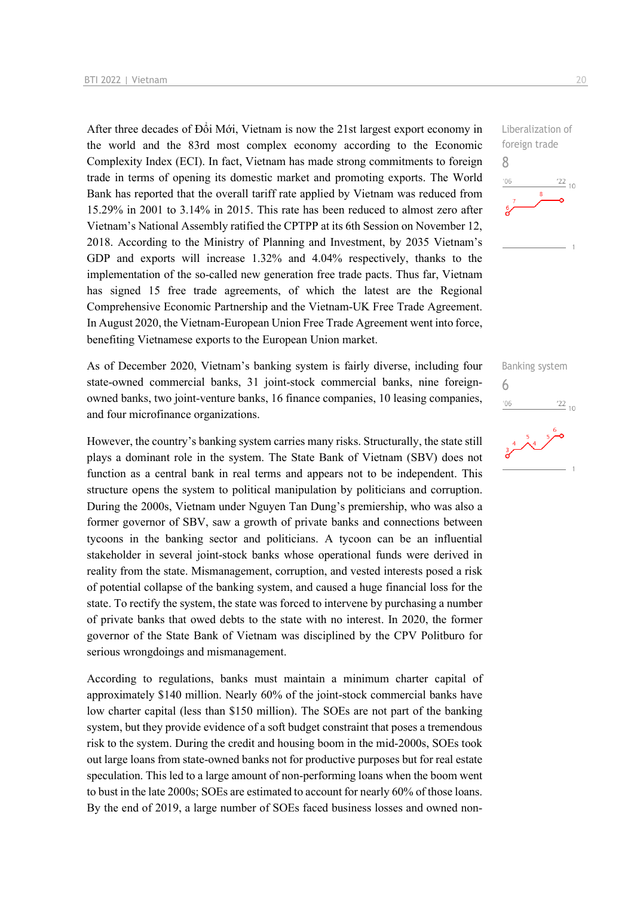After three decades of Đổi Mới, Vietnam is now the 21st largest export economy in the world and the 83rd most complex economy according to the Economic Complexity Index (ECI). In fact, Vietnam has made strong commitments to foreign trade in terms of opening its domestic market and promoting exports. The World Bank has reported that the overall tariff rate applied by Vietnam was reduced from 15.29% in 2001 to 3.14% in 2015. This rate has been reduced to almost zero after Vietnam's National Assembly ratified the CPTPP at its 6th Session on November 12, 2018. According to the Ministry of Planning and Investment, by 2035 Vietnam's GDP and exports will increase 1.32% and 4.04% respectively, thanks to the implementation of the so-called new generation free trade pacts. Thus far, Vietnam has signed 15 free trade agreements, of which the latest are the Regional Comprehensive Economic Partnership and the Vietnam-UK Free Trade Agreement. In August 2020, the Vietnam-European Union Free Trade Agreement went into force, benefiting Vietnamese exports to the European Union market.

As of December 2020, Vietnam's banking system is fairly diverse, including four state-owned commercial banks, 31 joint-stock commercial banks, nine foreignowned banks, two joint-venture banks, 16 finance companies, 10 leasing companies, and four microfinance organizations.

However, the country's banking system carries many risks. Structurally, the state still plays a dominant role in the system. The State Bank of Vietnam (SBV) does not function as a central bank in real terms and appears not to be independent. This structure opens the system to political manipulation by politicians and corruption. During the 2000s, Vietnam under Nguyen Tan Dung's premiership, who was also a former governor of SBV, saw a growth of private banks and connections between tycoons in the banking sector and politicians. A tycoon can be an influential stakeholder in several joint-stock banks whose operational funds were derived in reality from the state. Mismanagement, corruption, and vested interests posed a risk of potential collapse of the banking system, and caused a huge financial loss for the state. To rectify the system, the state was forced to intervene by purchasing a number of private banks that owed debts to the state with no interest. In 2020, the former governor of the State Bank of Vietnam was disciplined by the CPV Politburo for serious wrongdoings and mismanagement.

According to regulations, banks must maintain a minimum charter capital of approximately \$140 million. Nearly 60% of the joint-stock commercial banks have low charter capital (less than \$150 million). The SOEs are not part of the banking system, but they provide evidence of a soft budget constraint that poses a tremendous risk to the system. During the credit and housing boom in the mid-2000s, SOEs took out large loans from state-owned banks not for productive purposes but for real estate speculation. This led to a large amount of non-performing loans when the boom went to bust in the late 2000s; SOEs are estimated to account for nearly 60% of those loans. By the end of 2019, a large number of SOEs faced business losses and owned nonLiberalization of foreign trade 8  $-06$  $\frac{22}{10}$ 

Banking system 6 $\frac{22}{10}$  $'06$ 

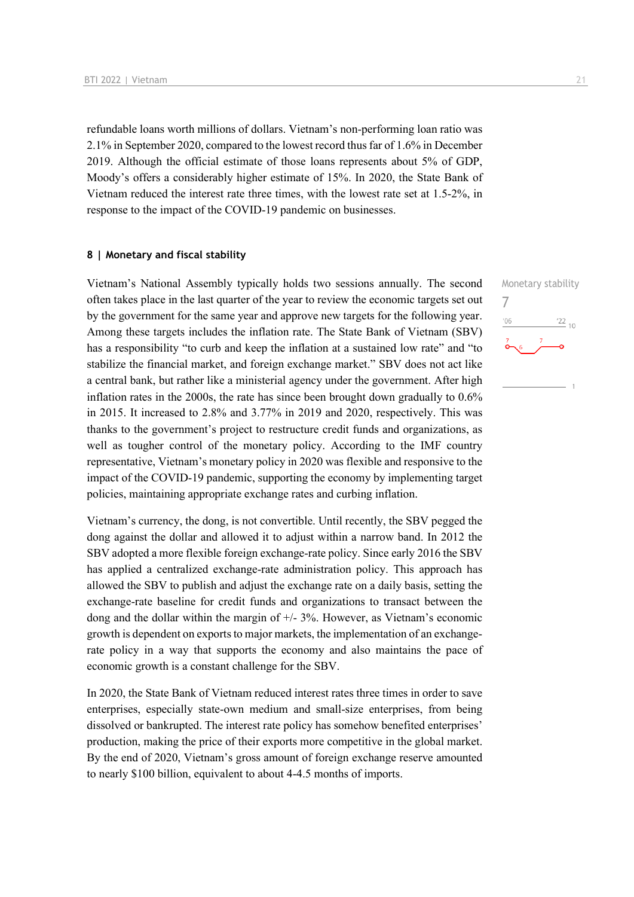refundable loans worth millions of dollars. Vietnam's non-performing loan ratio was 2.1% in September 2020, compared to the lowest record thus far of 1.6% in December 2019. Although the official estimate of those loans represents about 5% of GDP, Moody's offers a considerably higher estimate of 15%. In 2020, the State Bank of Vietnam reduced the interest rate three times, with the lowest rate set at 1.5-2%, in response to the impact of the COVID-19 pandemic on businesses.

#### **8 | Monetary and fiscal stability**

Vietnam's National Assembly typically holds two sessions annually. The second often takes place in the last quarter of the year to review the economic targets set out by the government for the same year and approve new targets for the following year. Among these targets includes the inflation rate. The State Bank of Vietnam (SBV) has a responsibility "to curb and keep the inflation at a sustained low rate" and "to stabilize the financial market, and foreign exchange market." SBV does not act like a central bank, but rather like a ministerial agency under the government. After high inflation rates in the 2000s, the rate has since been brought down gradually to 0.6% in 2015. It increased to 2.8% and 3.77% in 2019 and 2020, respectively. This was thanks to the government's project to restructure credit funds and organizations, as well as tougher control of the monetary policy. According to the IMF country representative, Vietnam's monetary policy in 2020 was flexible and responsive to the impact of the COVID-19 pandemic, supporting the economy by implementing target policies, maintaining appropriate exchange rates and curbing inflation.

Vietnam's currency, the dong, is not convertible. Until recently, the SBV pegged the dong against the dollar and allowed it to adjust within a narrow band. In 2012 the SBV adopted a more flexible foreign exchange-rate policy. Since early 2016 the SBV has applied a centralized exchange-rate administration policy. This approach has allowed the SBV to publish and adjust the exchange rate on a daily basis, setting the exchange-rate baseline for credit funds and organizations to transact between the dong and the dollar within the margin of +/- 3%. However, as Vietnam's economic growth is dependent on exports to major markets, the implementation of an exchangerate policy in a way that supports the economy and also maintains the pace of economic growth is a constant challenge for the SBV.

In 2020, the State Bank of Vietnam reduced interest rates three times in order to save enterprises, especially state-own medium and small-size enterprises, from being dissolved or bankrupted. The interest rate policy has somehow benefited enterprises' production, making the price of their exports more competitive in the global market. By the end of 2020, Vietnam's gross amount of foreign exchange reserve amounted to nearly \$100 billion, equivalent to about 4-4.5 months of imports.

Monetary stability 7 $\frac{22}{10}$  $06'$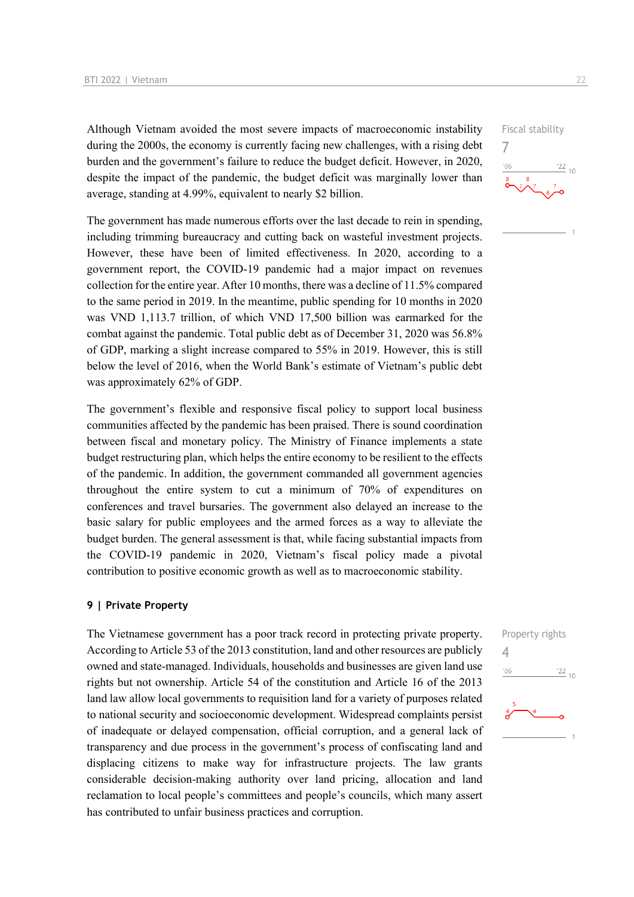Although Vietnam avoided the most severe impacts of macroeconomic instability during the 2000s, the economy is currently facing new challenges, with a rising debt burden and the government's failure to reduce the budget deficit. However, in 2020, despite the impact of the pandemic, the budget deficit was marginally lower than average, standing at 4.99%, equivalent to nearly \$2 billion.

The government has made numerous efforts over the last decade to rein in spending, including trimming bureaucracy and cutting back on wasteful investment projects. However, these have been of limited effectiveness. In 2020, according to a government report, the COVID-19 pandemic had a major impact on revenues collection for the entire year. After 10 months, there was a decline of 11.5% compared to the same period in 2019. In the meantime, public spending for 10 months in 2020 was VND 1,113.7 trillion, of which VND 17,500 billion was earmarked for the combat against the pandemic. Total public debt as of December 31, 2020 was 56.8% of GDP, marking a slight increase compared to 55% in 2019. However, this is still below the level of 2016, when the World Bank's estimate of Vietnam's public debt was approximately 62% of GDP.

The government's flexible and responsive fiscal policy to support local business communities affected by the pandemic has been praised. There is sound coordination between fiscal and monetary policy. The Ministry of Finance implements a state budget restructuring plan, which helps the entire economy to be resilient to the effects of the pandemic. In addition, the government commanded all government agencies throughout the entire system to cut a minimum of 70% of expenditures on conferences and travel bursaries. The government also delayed an increase to the basic salary for public employees and the armed forces as a way to alleviate the budget burden. The general assessment is that, while facing substantial impacts from the COVID-19 pandemic in 2020, Vietnam's fiscal policy made a pivotal contribution to positive economic growth as well as to macroeconomic stability.

#### **9 | Private Property**

The Vietnamese government has a poor track record in protecting private property. According to Article 53 of the 2013 constitution, land and other resources are publicly owned and state-managed. Individuals, households and businesses are given land use rights but not ownership. Article 54 of the constitution and Article 16 of the 2013 land law allow local governments to requisition land for a variety of purposes related to national security and socioeconomic development. Widespread complaints persist of inadequate or delayed compensation, official corruption, and a general lack of transparency and due process in the government's process of confiscating land and displacing citizens to make way for infrastructure projects. The law grants considerable decision-making authority over land pricing, allocation and land reclamation to local people's committees and people's councils, which many assert has contributed to unfair business practices and corruption.



7

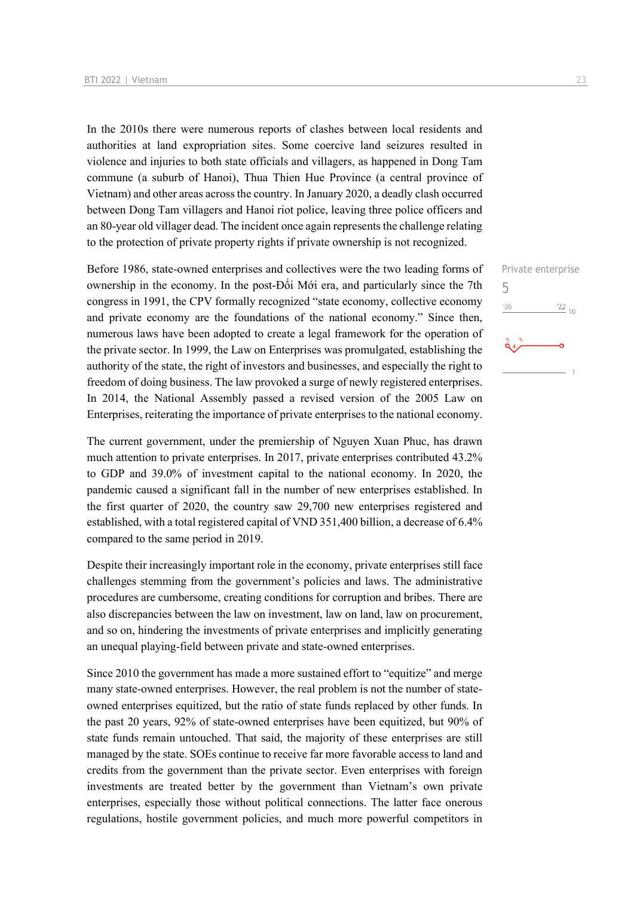In the 2010s there were numerous reports of clashes between local residents and authorities at land expropriation sites. Some coercive land seizures resulted in violence and injuries to both state officials and villagers, as happened in Dong Tam commune (a suburb of Hanoi), Thua Thien Hue Province (a central province of Vietnam) and other areas across the country. In January 2020, a deadly clash occurred between Dong Tam villagers and Hanoi riot police, leaving three police officers and an 80-year old villager dead. The incident once again represents the challenge relating to the protection of private property rights if private ownership is not recognized.

Before 1986, state-owned enterprises and collectives were the two leading forms of ownership in the economy. In the post-Đổi Mới era, and particularly since the 7th congress in 1991, the CPV formally recognized "state economy, collective economy and private economy are the foundations of the national economy." Since then, numerous laws have been adopted to create a legal framework for the operation of the private sector. In 1999, the Law on Enterprises was promulgated, establishing the authority of the state, the right of investors and businesses, and especially the right to freedom of doing business. The law provoked a surge of newly registered enterprises. In 2014, the National Assembly passed a revised version of the 2005 Law on Enterprises, reiterating the importance of private enterprises to the national economy.

The current government, under the premiership of Nguyen Xuan Phuc, has drawn much attention to private enterprises. In 2017, private enterprises contributed 43.2% to GDP and 39.0% of investment capital to the national economy. In 2020, the pandemic caused a significant fall in the number of new enterprises established. In the first quarter of 2020, the country saw 29,700 new enterprises registered and established, with a total registered capital of VND 351,400 billion, a decrease of 6.4% compared to the same period in 2019.

Despite their increasingly important role in the economy, private enterprises still face challenges stemming from the government's policies and laws. The administrative procedures are cumbersome, creating conditions for corruption and bribes. There are also discrepancies between the law on investment, law on land, law on procurement, and so on, hindering the investments of private enterprises and implicitly generating an unequal playing-field between private and state-owned enterprises.

Since 2010 the government has made a more sustained effort to "equitize" and merge many state-owned enterprises. However, the real problem is not the number of stateowned enterprises equitized, but the ratio of state funds replaced by other funds. In the past 20 years, 92% of state-owned enterprises have been equitized, but 90% of state funds remain untouched. That said, the majority of these enterprises are still managed by the state. SOEs continue to receive far more favorable access to land and credits from the government than the private sector. Even enterprises with foreign investments are treated better by the government than Vietnam's own private enterprises, especially those without political connections. The latter face onerous regulations, hostile government policies, and much more powerful competitors in

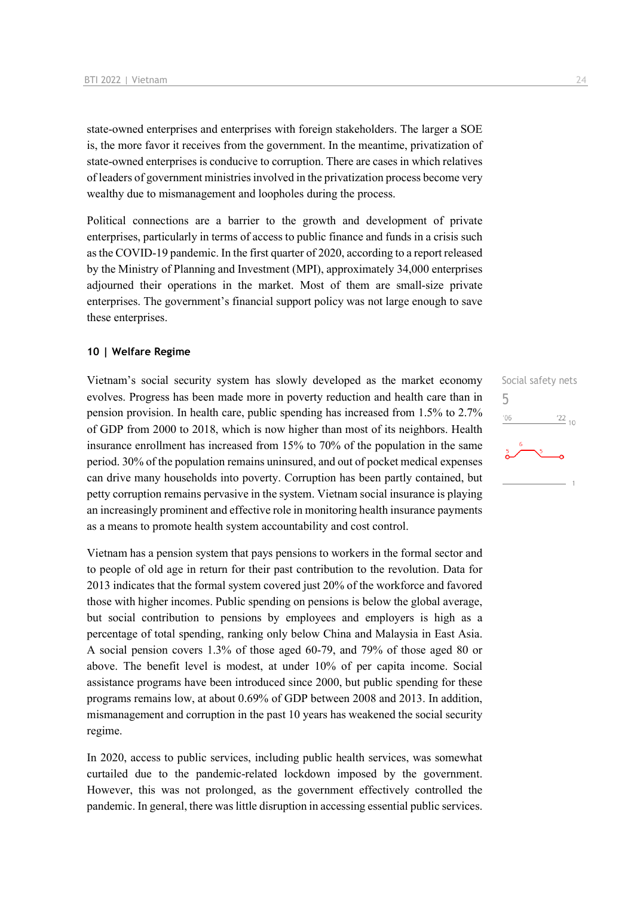state-owned enterprises and enterprises with foreign stakeholders. The larger a SOE is, the more favor it receives from the government. In the meantime, privatization of state-owned enterprises is conducive to corruption. There are cases in which relatives of leaders of government ministries involved in the privatization process become very wealthy due to mismanagement and loopholes during the process.

Political connections are a barrier to the growth and development of private enterprises, particularly in terms of access to public finance and funds in a crisis such as the COVID-19 pandemic. In the first quarter of 2020, according to a report released by the Ministry of Planning and Investment (MPI), approximately 34,000 enterprises adjourned their operations in the market. Most of them are small-size private enterprises. The government's financial support policy was not large enough to save these enterprises.

#### **10 | Welfare Regime**

Vietnam's social security system has slowly developed as the market economy evolves. Progress has been made more in poverty reduction and health care than in pension provision. In health care, public spending has increased from 1.5% to 2.7% of GDP from 2000 to 2018, which is now higher than most of its neighbors. Health insurance enrollment has increased from 15% to 70% of the population in the same period. 30% of the population remains uninsured, and out of pocket medical expenses can drive many households into poverty. Corruption has been partly contained, but petty corruption remains pervasive in the system. Vietnam social insurance is playing an increasingly prominent and effective role in monitoring health insurance payments as a means to promote health system accountability and cost control.

Vietnam has a pension system that pays pensions to workers in the formal sector and to people of old age in return for their past contribution to the revolution. Data for 2013 indicates that the formal system covered just 20% of the workforce and favored those with higher incomes. Public spending on pensions is below the global average, but social contribution to pensions by employees and employers is high as a percentage of total spending, ranking only below China and Malaysia in East Asia. A social pension covers 1.3% of those aged 60-79, and 79% of those aged 80 or above. The benefit level is modest, at under 10% of per capita income. Social assistance programs have been introduced since 2000, but public spending for these programs remains low, at about 0.69% of GDP between 2008 and 2013. In addition, mismanagement and corruption in the past 10 years has weakened the social security regime.

In 2020, access to public services, including public health services, was somewhat curtailed due to the pandemic-related lockdown imposed by the government. However, this was not prolonged, as the government effectively controlled the pandemic. In general, there was little disruption in accessing essential public services.

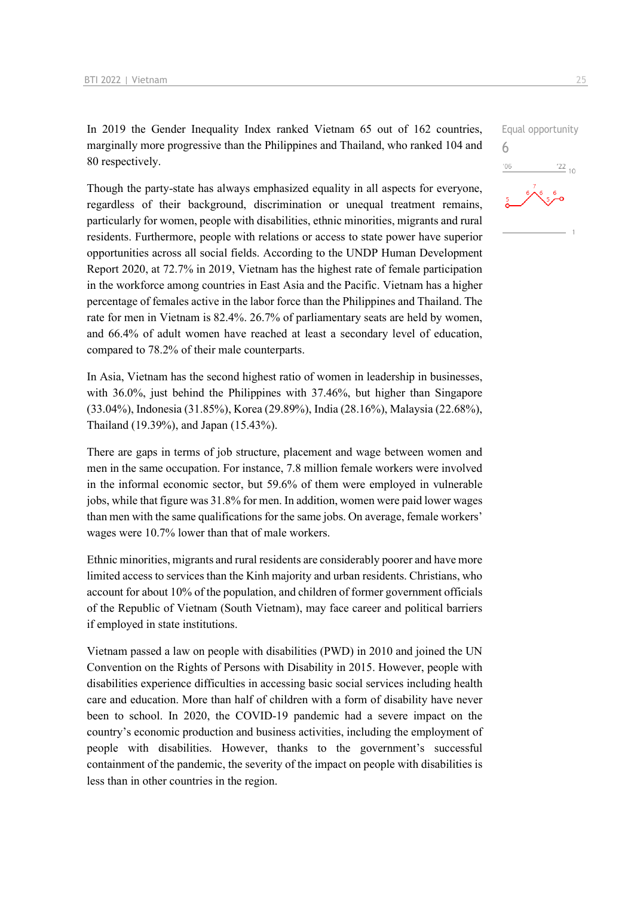In 2019 the Gender Inequality Index ranked Vietnam 65 out of 162 countries, marginally more progressive than the Philippines and Thailand, who ranked 104 and 80 respectively.

Though the party-state has always emphasized equality in all aspects for everyone, regardless of their background, discrimination or unequal treatment remains, particularly for women, people with disabilities, ethnic minorities, migrants and rural residents. Furthermore, people with relations or access to state power have superior opportunities across all social fields. According to the UNDP Human Development Report 2020, at 72.7% in 2019, Vietnam has the highest rate of female participation in the workforce among countries in East Asia and the Pacific. Vietnam has a higher percentage of females active in the labor force than the Philippines and Thailand. The rate for men in Vietnam is 82.4%. 26.7% of parliamentary seats are held by women, and 66.4% of adult women have reached at least a secondary level of education, compared to 78.2% of their male counterparts.

In Asia, Vietnam has the second highest ratio of women in leadership in businesses, with 36.0%, just behind the Philippines with 37.46%, but higher than Singapore (33.04%), Indonesia (31.85%), Korea (29.89%), India (28.16%), Malaysia (22.68%), Thailand (19.39%), and Japan (15.43%).

There are gaps in terms of job structure, placement and wage between women and men in the same occupation. For instance, 7.8 million female workers were involved in the informal economic sector, but 59.6% of them were employed in vulnerable jobs, while that figure was 31.8% for men. In addition, women were paid lower wages than men with the same qualifications for the same jobs. On average, female workers' wages were 10.7% lower than that of male workers.

Ethnic minorities, migrants and rural residents are considerably poorer and have more limited access to services than the Kinh majority and urban residents. Christians, who account for about 10% of the population, and children of former government officials of the Republic of Vietnam (South Vietnam), may face career and political barriers if employed in state institutions.

Vietnam passed a law on people with disabilities (PWD) in 2010 and joined the UN Convention on the Rights of Persons with Disability in 2015. However, people with disabilities experience difficulties in accessing basic social services including health care and education. More than half of children with a form of disability have never been to school. In 2020, the COVID-19 pandemic had a severe impact on the country's economic production and business activities, including the employment of people with disabilities. However, thanks to the government's successful containment of the pandemic, the severity of the impact on people with disabilities is less than in other countries in the region.

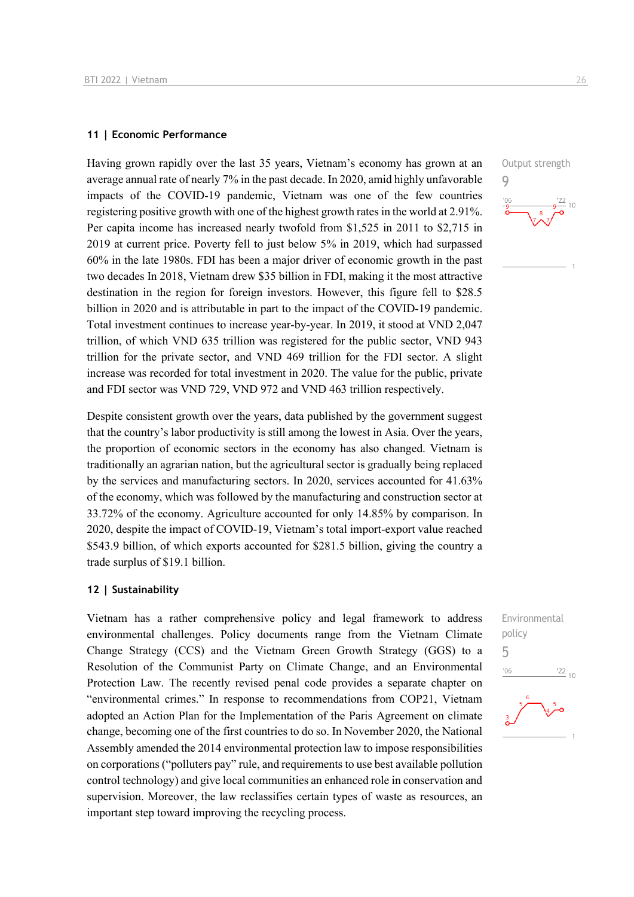#### **11 | Economic Performance**

Having grown rapidly over the last 35 years, Vietnam's economy has grown at an average annual rate of nearly 7% in the past decade. In 2020, amid highly unfavorable impacts of the COVID-19 pandemic, Vietnam was one of the few countries registering positive growth with one of the highest growth rates in the world at 2.91%. Per capita income has increased nearly twofold from \$1,525 in 2011 to \$2,715 in 2019 at current price. Poverty fell to just below 5% in 2019, which had surpassed 60% in the late 1980s. FDI has been a major driver of economic growth in the past two decades In 2018, Vietnam drew \$35 billion in FDI, making it the most attractive destination in the region for foreign investors. However, this figure fell to \$28.5 billion in 2020 and is attributable in part to the impact of the COVID-19 pandemic. Total investment continues to increase year-by-year. In 2019, it stood at VND 2,047 trillion, of which VND 635 trillion was registered for the public sector, VND 943 trillion for the private sector, and VND 469 trillion for the FDI sector. A slight increase was recorded for total investment in 2020. The value for the public, private and FDI sector was VND 729, VND 972 and VND 463 trillion respectively.

Despite consistent growth over the years, data published by the government suggest that the country's labor productivity is still among the lowest in Asia. Over the years, the proportion of economic sectors in the economy has also changed. Vietnam is traditionally an agrarian nation, but the agricultural sector is gradually being replaced by the services and manufacturing sectors. In 2020, services accounted for 41.63% of the economy, which was followed by the manufacturing and construction sector at 33.72% of the economy. Agriculture accounted for only 14.85% by comparison. In 2020, despite the impact of COVID-19, Vietnam's total import-export value reached \$543.9 billion, of which exports accounted for \$281.5 billion, giving the country a trade surplus of \$19.1 billion.

#### **12 | Sustainability**

Vietnam has a rather comprehensive policy and legal framework to address environmental challenges. Policy documents range from the Vietnam Climate Change Strategy (CCS) and the Vietnam Green Growth Strategy (GGS) to a Resolution of the Communist Party on Climate Change, and an Environmental Protection Law. The recently revised penal code provides a separate chapter on "environmental crimes." In response to recommendations from COP21, Vietnam adopted an Action Plan for the Implementation of the Paris Agreement on climate change, becoming one of the first countries to do so. In November 2020, the National Assembly amended the 2014 environmental protection law to impose responsibilities on corporations ("polluters pay" rule, and requirements to use best available pollution control technology) and give local communities an enhanced role in conservation and supervision. Moreover, the law reclassifies certain types of waste as resources, an important step toward improving the recycling process.



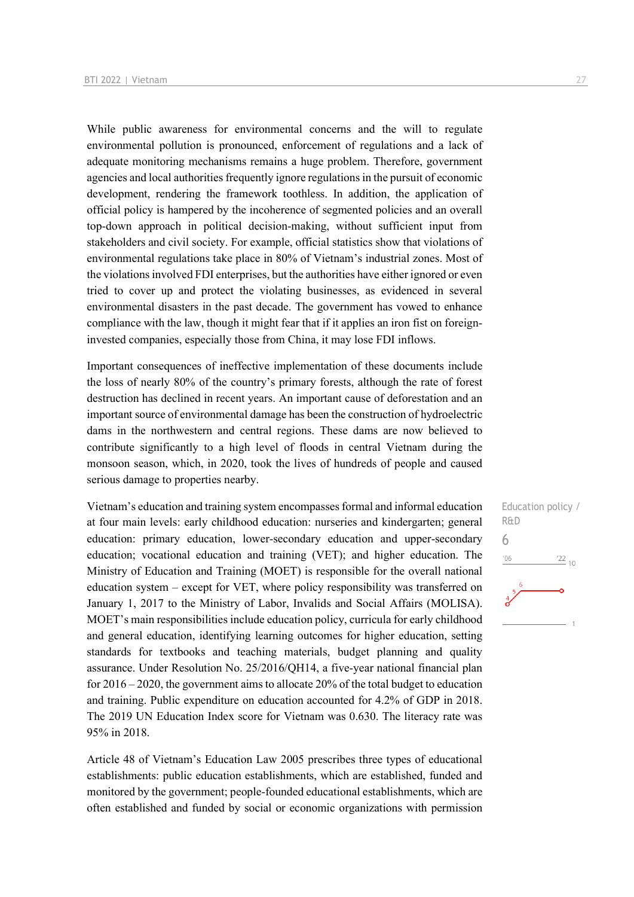While public awareness for environmental concerns and the will to regulate environmental pollution is pronounced, enforcement of regulations and a lack of adequate monitoring mechanisms remains a huge problem. Therefore, government agencies and local authorities frequently ignore regulations in the pursuit of economic development, rendering the framework toothless. In addition, the application of official policy is hampered by the incoherence of segmented policies and an overall top-down approach in political decision-making, without sufficient input from stakeholders and civil society. For example, official statistics show that violations of environmental regulations take place in 80% of Vietnam's industrial zones. Most of the violations involved FDI enterprises, but the authorities have either ignored or even tried to cover up and protect the violating businesses, as evidenced in several environmental disasters in the past decade. The government has vowed to enhance compliance with the law, though it might fear that if it applies an iron fist on foreigninvested companies, especially those from China, it may lose FDI inflows.

Important consequences of ineffective implementation of these documents include the loss of nearly 80% of the country's primary forests, although the rate of forest destruction has declined in recent years. An important cause of deforestation and an important source of environmental damage has been the construction of hydroelectric dams in the northwestern and central regions. These dams are now believed to contribute significantly to a high level of floods in central Vietnam during the monsoon season, which, in 2020, took the lives of hundreds of people and caused serious damage to properties nearby.

Vietnam's education and training system encompasses formal and informal education at four main levels: early childhood education: nurseries and kindergarten; general education: primary education, lower-secondary education and upper-secondary education; vocational education and training (VET); and higher education. The Ministry of Education and Training (MOET) is responsible for the overall national education system – except for VET, where policy responsibility was transferred on January 1, 2017 to the Ministry of Labor, Invalids and Social Affairs (MOLISA). MOET's main responsibilities include education policy, curricula for early childhood and general education, identifying learning outcomes for higher education, setting standards for textbooks and teaching materials, budget planning and quality assurance. Under Resolution No. 25/2016/QH14, a five-year national financial plan for 2016 – 2020, the government aims to allocate 20% of the total budget to education and training. Public expenditure on education accounted for 4.2% of GDP in 2018. The 2019 UN Education Index score for Vietnam was 0.630. The literacy rate was 95% in 2018.

Article 48 of Vietnam's Education Law 2005 prescribes three types of educational establishments: public education establishments, which are established, funded and monitored by the government; people-founded educational establishments, which are often established and funded by social or economic organizations with permission Education policy / R&D 6 $\frac{22}{10}$  $-06$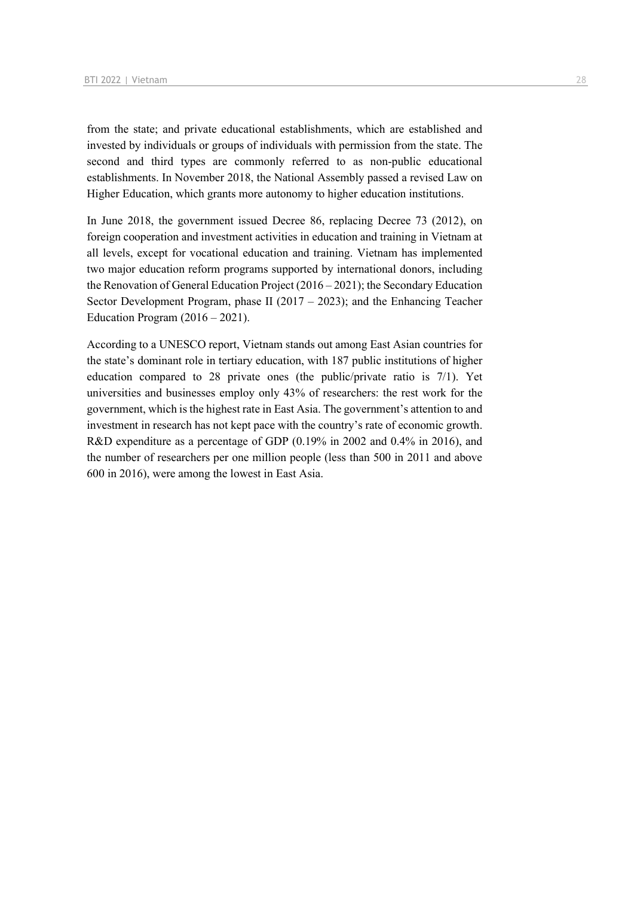from the state; and private educational establishments, which are established and invested by individuals or groups of individuals with permission from the state. The second and third types are commonly referred to as non-public educational establishments. In November 2018, the National Assembly passed a revised Law on Higher Education, which grants more autonomy to higher education institutions.

In June 2018, the government issued Decree 86, replacing Decree 73 (2012), on foreign cooperation and investment activities in education and training in Vietnam at all levels, except for vocational education and training. Vietnam has implemented two major education reform programs supported by international donors, including the Renovation of General Education Project (2016 – 2021); the Secondary Education Sector Development Program, phase II (2017 – 2023); and the Enhancing Teacher Education Program  $(2016 - 2021)$ .

According to a UNESCO report, Vietnam stands out among East Asian countries for the state's dominant role in tertiary education, with 187 public institutions of higher education compared to 28 private ones (the public/private ratio is 7/1). Yet universities and businesses employ only 43% of researchers: the rest work for the government, which is the highest rate in East Asia. The government's attention to and investment in research has not kept pace with the country's rate of economic growth. R&D expenditure as a percentage of GDP (0.19% in 2002 and 0.4% in 2016), and the number of researchers per one million people (less than 500 in 2011 and above 600 in 2016), were among the lowest in East Asia.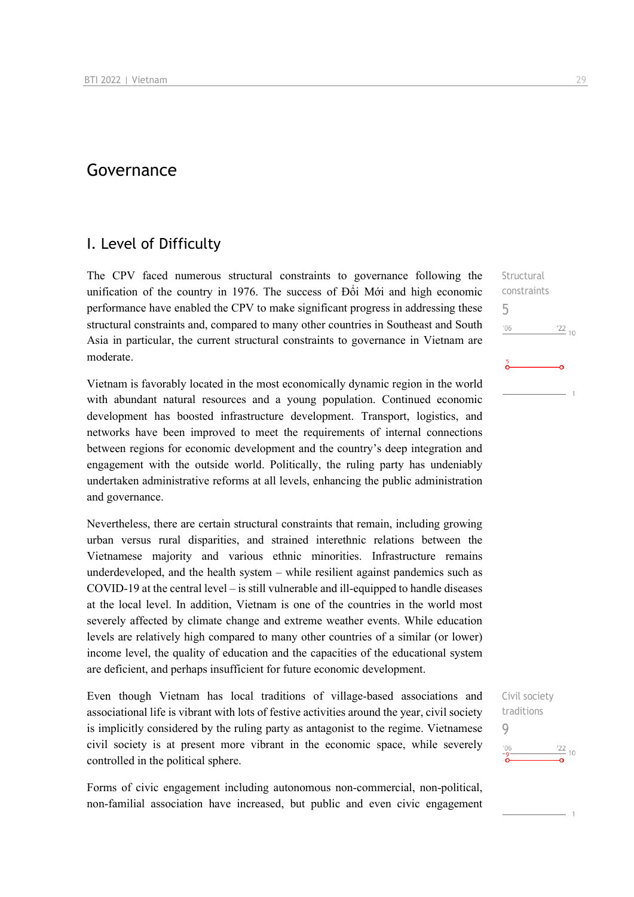## Governance

### I. Level of Difficulty

The CPV faced numerous structural constraints to governance following the unification of the country in 1976. The success of Đổi Mới and high economic performance have enabled the CPV to make significant progress in addressing these structural constraints and, compared to many other countries in Southeast and South Asia in particular, the current structural constraints to governance in Vietnam are moderate.

Vietnam is favorably located in the most economically dynamic region in the world with abundant natural resources and a young population. Continued economic development has boosted infrastructure development. Transport, logistics, and networks have been improved to meet the requirements of internal connections between regions for economic development and the country's deep integration and engagement with the outside world. Politically, the ruling party has undeniably undertaken administrative reforms at all levels, enhancing the public administration and governance.

Nevertheless, there are certain structural constraints that remain, including growing urban versus rural disparities, and strained interethnic relations between the Vietnamese majority and various ethnic minorities. Infrastructure remains underdeveloped, and the health system – while resilient against pandemics such as COVID-19 at the central level – is still vulnerable and ill-equipped to handle diseases at the local level. In addition, Vietnam is one of the countries in the world most severely affected by climate change and extreme weather events. While education levels are relatively high compared to many other countries of a similar (or lower) income level, the quality of education and the capacities of the educational system are deficient, and perhaps insufficient for future economic development.

Even though Vietnam has local traditions of village-based associations and associational life is vibrant with lots of festive activities around the year, civil society is implicitly considered by the ruling party as antagonist to the regime. Vietnamese civil society is at present more vibrant in the economic space, while severely controlled in the political sphere.

Forms of civic engagement including autonomous non-commercial, non-political, non-familial association have increased, but public and even civic engagement

**Structural** constraints 5  $n<sub>6</sub>$  $^{22}$  10

## Civil society traditions 9 $\frac{22}{10}$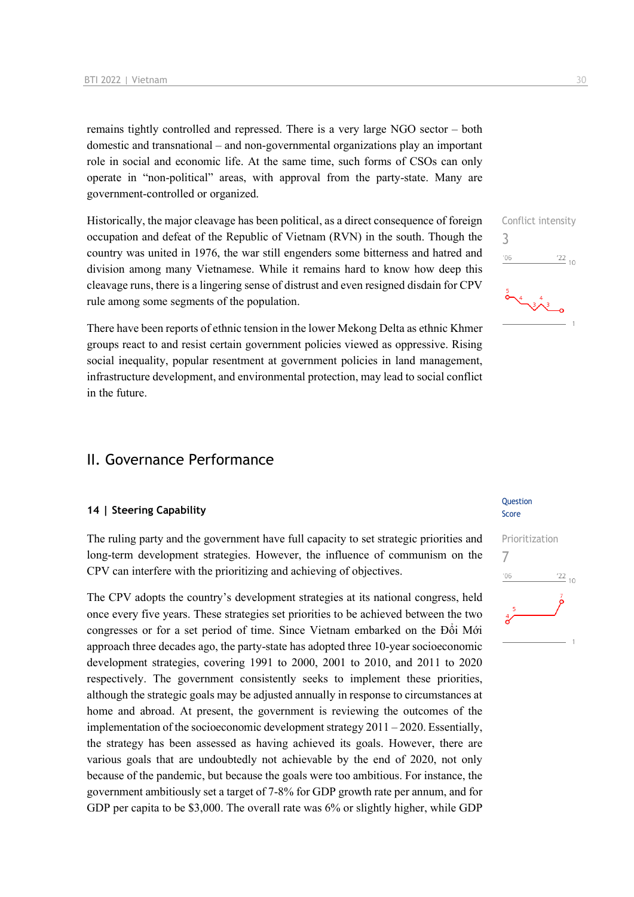remains tightly controlled and repressed. There is a very large NGO sector – both domestic and transnational – and non-governmental organizations play an important role in social and economic life. At the same time, such forms of CSOs can only operate in "non-political" areas, with approval from the party-state. Many are government-controlled or organized.

Historically, the major cleavage has been political, as a direct consequence of foreign occupation and defeat of the Republic of Vietnam (RVN) in the south. Though the country was united in 1976, the war still engenders some bitterness and hatred and division among many Vietnamese. While it remains hard to know how deep this cleavage runs, there is a lingering sense of distrust and even resigned disdain for CPV rule among some segments of the population.

There have been reports of ethnic tension in the lower Mekong Delta as ethnic Khmer groups react to and resist certain government policies viewed as oppressive. Rising social inequality, popular resentment at government policies in land management, infrastructure development, and environmental protection, may lead to social conflict in the future.

## II. Governance Performance

#### **14 | Steering Capability**

The ruling party and the government have full capacity to set strategic priorities and long-term development strategies. However, the influence of communism on the CPV can interfere with the prioritizing and achieving of objectives.

The CPV adopts the country's development strategies at its national congress, held once every five years. These strategies set priorities to be achieved between the two congresses or for a set period of time. Since Vietnam embarked on the Đổi Mới approach three decades ago, the party-state has adopted three 10-year socioeconomic development strategies, covering 1991 to 2000, 2001 to 2010, and 2011 to 2020 respectively. The government consistently seeks to implement these priorities, although the strategic goals may be adjusted annually in response to circumstances at home and abroad. At present, the government is reviewing the outcomes of the implementation of the socioeconomic development strategy 2011 – 2020. Essentially, the strategy has been assessed as having achieved its goals. However, there are various goals that are undoubtedly not achievable by the end of 2020, not only because of the pandemic, but because the goals were too ambitious. For instance, the government ambitiously set a target of 7-8% for GDP growth rate per annum, and for GDP per capita to be \$3,000. The overall rate was 6% or slightly higher, while GDP

Conflict intensity 3  $\frac{22}{10}$  $-06$ 

#### **Question** Score

## Prioritization 7 $\frac{22}{10}$  $-06$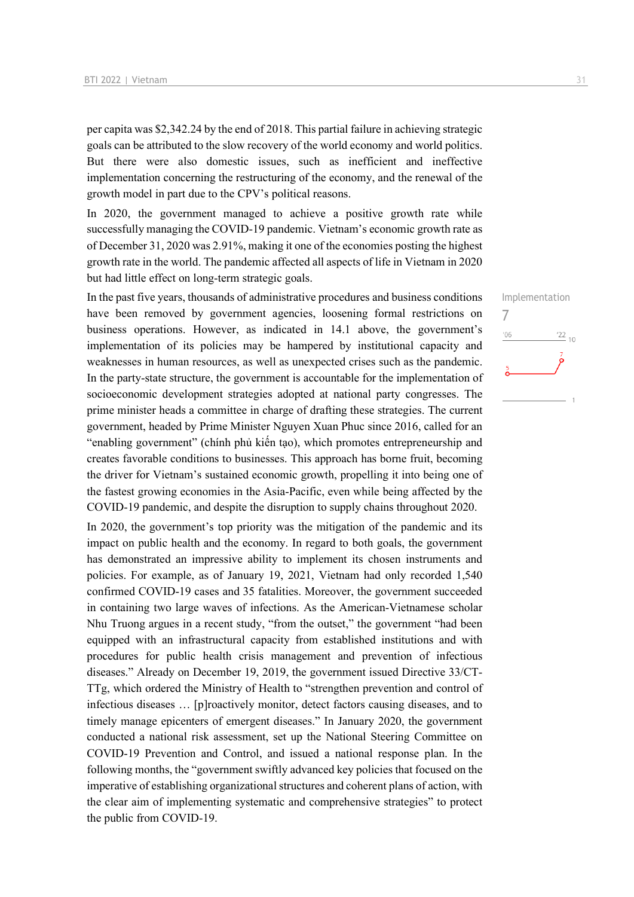per capita was \$2,342.24 by the end of 2018. This partial failure in achieving strategic goals can be attributed to the slow recovery of the world economy and world politics. But there were also domestic issues, such as inefficient and ineffective implementation concerning the restructuring of the economy, and the renewal of the growth model in part due to the CPV's political reasons.

In 2020, the government managed to achieve a positive growth rate while successfully managing the COVID-19 pandemic. Vietnam's economic growth rate as of December 31, 2020 was 2.91%, making it one of the economies posting the highest growth rate in the world. The pandemic affected all aspects of life in Vietnam in 2020 but had little effect on long-term strategic goals.

In the past five years, thousands of administrative procedures and business conditions have been removed by government agencies, loosening formal restrictions on business operations. However, as indicated in 14.1 above, the government's implementation of its policies may be hampered by institutional capacity and weaknesses in human resources, as well as unexpected crises such as the pandemic. In the party-state structure, the government is accountable for the implementation of socioeconomic development strategies adopted at national party congresses. The prime minister heads a committee in charge of drafting these strategies. The current government, headed by Prime Minister Nguyen Xuan Phuc since 2016, called for an "enabling government" (chính phủ kiến tạo), which promotes entrepreneurship and creates favorable conditions to businesses. This approach has borne fruit, becoming the driver for Vietnam's sustained economic growth, propelling it into being one of the fastest growing economies in the Asia-Pacific, even while being affected by the COVID-19 pandemic, and despite the disruption to supply chains throughout 2020.

In 2020, the government's top priority was the mitigation of the pandemic and its impact on public health and the economy. In regard to both goals, the government has demonstrated an impressive ability to implement its chosen instruments and policies. For example, as of January 19, 2021, Vietnam had only recorded 1,540 confirmed COVID-19 cases and 35 fatalities. Moreover, the government succeeded in containing two large waves of infections. As the American-Vietnamese scholar Nhu Truong argues in a recent study, "from the outset," the government "had been equipped with an infrastructural capacity from established institutions and with procedures for public health crisis management and prevention of infectious diseases." Already on December 19, 2019, the government issued Directive 33/CT-TTg, which ordered the Ministry of Health to "strengthen prevention and control of infectious diseases … [p]roactively monitor, detect factors causing diseases, and to timely manage epicenters of emergent diseases." In January 2020, the government conducted a national risk assessment, set up the National Steering Committee on COVID-19 Prevention and Control, and issued a national response plan. In the following months, the "government swiftly advanced key policies that focused on the imperative of establishing organizational structures and coherent plans of action, with the clear aim of implementing systematic and comprehensive strategies" to protect the public from COVID-19.

Implementation 7 $06'$  $\frac{22}{10}$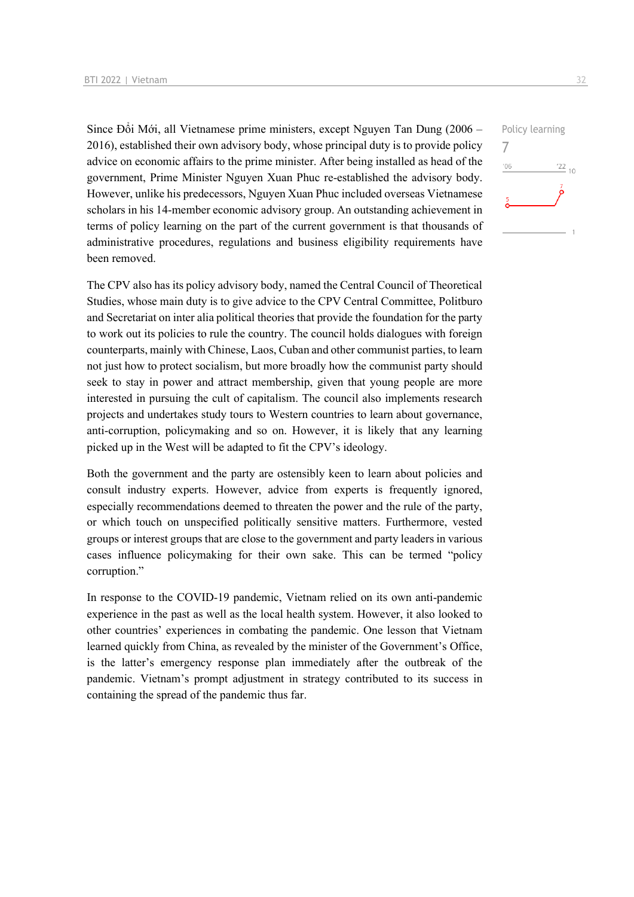Since Đổi Mới, all Vietnamese prime ministers, except Nguyen Tan Dung (2006 – 2016), established their own advisory body, whose principal duty is to provide policy advice on economic affairs to the prime minister. After being installed as head of the government, Prime Minister Nguyen Xuan Phuc re-established the advisory body. However, unlike his predecessors, Nguyen Xuan Phuc included overseas Vietnamese scholars in his 14-member economic advisory group. An outstanding achievement in terms of policy learning on the part of the current government is that thousands of administrative procedures, regulations and business eligibility requirements have been removed.

The CPV also has its policy advisory body, named the Central Council of Theoretical Studies, whose main duty is to give advice to the CPV Central Committee, Politburo and Secretariat on inter alia political theories that provide the foundation for the party to work out its policies to rule the country. The council holds dialogues with foreign counterparts, mainly with Chinese, Laos, Cuban and other communist parties, to learn not just how to protect socialism, but more broadly how the communist party should seek to stay in power and attract membership, given that young people are more interested in pursuing the cult of capitalism. The council also implements research projects and undertakes study tours to Western countries to learn about governance, anti-corruption, policymaking and so on. However, it is likely that any learning picked up in the West will be adapted to fit the CPV's ideology.

Both the government and the party are ostensibly keen to learn about policies and consult industry experts. However, advice from experts is frequently ignored, especially recommendations deemed to threaten the power and the rule of the party, or which touch on unspecified politically sensitive matters. Furthermore, vested groups or interest groups that are close to the government and party leaders in various cases influence policymaking for their own sake. This can be termed "policy corruption."

In response to the COVID-19 pandemic, Vietnam relied on its own anti-pandemic experience in the past as well as the local health system. However, it also looked to other countries' experiences in combating the pandemic. One lesson that Vietnam learned quickly from China, as revealed by the minister of the Government's Office, is the latter's emergency response plan immediately after the outbreak of the pandemic. Vietnam's prompt adjustment in strategy contributed to its success in containing the spread of the pandemic thus far.

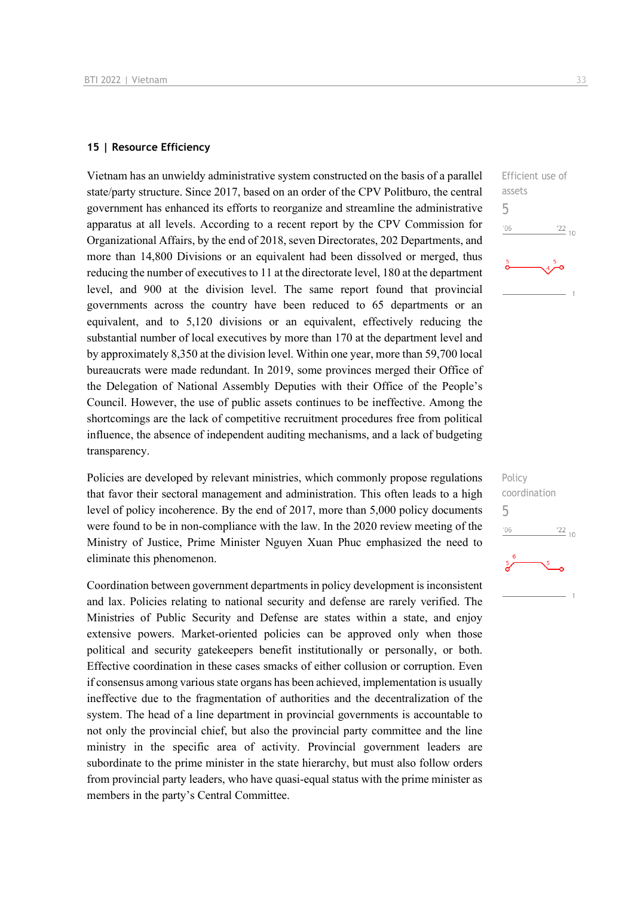#### **15 | Resource Efficiency**

Vietnam has an unwieldy administrative system constructed on the basis of a parallel state/party structure. Since 2017, based on an order of the CPV Politburo, the central government has enhanced its efforts to reorganize and streamline the administrative apparatus at all levels. According to a recent report by the CPV Commission for Organizational Affairs, by the end of 2018, seven Directorates, 202 Departments, and more than 14,800 Divisions or an equivalent had been dissolved or merged, thus reducing the number of executives to 11 at the directorate level, 180 at the department level, and 900 at the division level. The same report found that provincial governments across the country have been reduced to 65 departments or an equivalent, and to 5,120 divisions or an equivalent, effectively reducing the substantial number of local executives by more than 170 at the department level and by approximately 8,350 at the division level. Within one year, more than 59,700 local bureaucrats were made redundant. In 2019, some provinces merged their Office of the Delegation of National Assembly Deputies with their Office of the People's Council. However, the use of public assets continues to be ineffective. Among the shortcomings are the lack of competitive recruitment procedures free from political influence, the absence of independent auditing mechanisms, and a lack of budgeting transparency.

Policies are developed by relevant ministries, which commonly propose regulations that favor their sectoral management and administration. This often leads to a high level of policy incoherence. By the end of 2017, more than 5,000 policy documents were found to be in non-compliance with the law. In the 2020 review meeting of the Ministry of Justice, Prime Minister Nguyen Xuan Phuc emphasized the need to eliminate this phenomenon.

Coordination between government departments in policy development is inconsistent and lax. Policies relating to national security and defense are rarely verified. The Ministries of Public Security and Defense are states within a state, and enjoy extensive powers. Market-oriented policies can be approved only when those political and security gatekeepers benefit institutionally or personally, or both. Effective coordination in these cases smacks of either collusion or corruption. Even if consensus among various state organs has been achieved, implementation is usually ineffective due to the fragmentation of authorities and the decentralization of the system. The head of a line department in provincial governments is accountable to not only the provincial chief, but also the provincial party committee and the line ministry in the specific area of activity. Provincial government leaders are subordinate to the prime minister in the state hierarchy, but must also follow orders from provincial party leaders, who have quasi-equal status with the prime minister as members in the party's Central Committee.



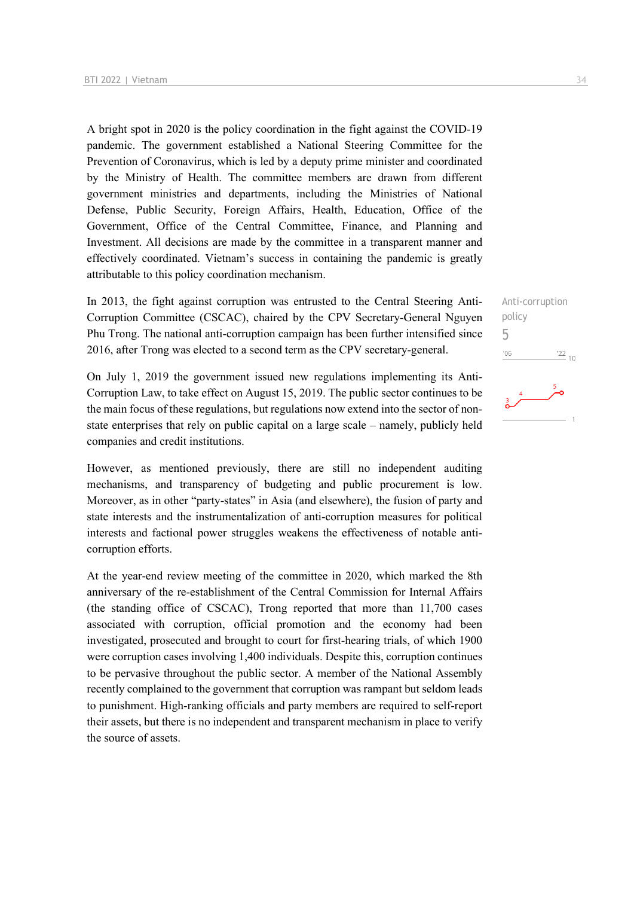A bright spot in 2020 is the policy coordination in the fight against the COVID-19 pandemic. The government established a National Steering Committee for the Prevention of Coronavirus, which is led by a deputy prime minister and coordinated by the Ministry of Health. The committee members are drawn from different government ministries and departments, including the Ministries of National Defense, Public Security, Foreign Affairs, Health, Education, Office of the Government, Office of the Central Committee, Finance, and Planning and Investment. All decisions are made by the committee in a transparent manner and effectively coordinated. Vietnam's success in containing the pandemic is greatly attributable to this policy coordination mechanism.

In 2013, the fight against corruption was entrusted to the Central Steering Anti-Corruption Committee (CSCAC), chaired by the CPV Secretary-General Nguyen Phu Trong. The national anti-corruption campaign has been further intensified since 2016, after Trong was elected to a second term as the CPV secretary-general.

On July 1, 2019 the government issued new regulations implementing its Anti-Corruption Law, to take effect on August 15, 2019. The public sector continues to be the main focus of these regulations, but regulations now extend into the sector of nonstate enterprises that rely on public capital on a large scale – namely, publicly held companies and credit institutions.

However, as mentioned previously, there are still no independent auditing mechanisms, and transparency of budgeting and public procurement is low. Moreover, as in other "party-states" in Asia (and elsewhere), the fusion of party and state interests and the instrumentalization of anti-corruption measures for political interests and factional power struggles weakens the effectiveness of notable anticorruption efforts.

At the year-end review meeting of the committee in 2020, which marked the 8th anniversary of the re-establishment of the Central Commission for Internal Affairs (the standing office of CSCAC), Trong reported that more than 11,700 cases associated with corruption, official promotion and the economy had been investigated, prosecuted and brought to court for first-hearing trials, of which 1900 were corruption cases involving 1,400 individuals. Despite this, corruption continues to be pervasive throughout the public sector. A member of the National Assembly recently complained to the government that corruption was rampant but seldom leads to punishment. High-ranking officials and party members are required to self-report their assets, but there is no independent and transparent mechanism in place to verify the source of assets.

Anti-corruption policy 5 $\frac{22}{10}$  $06'$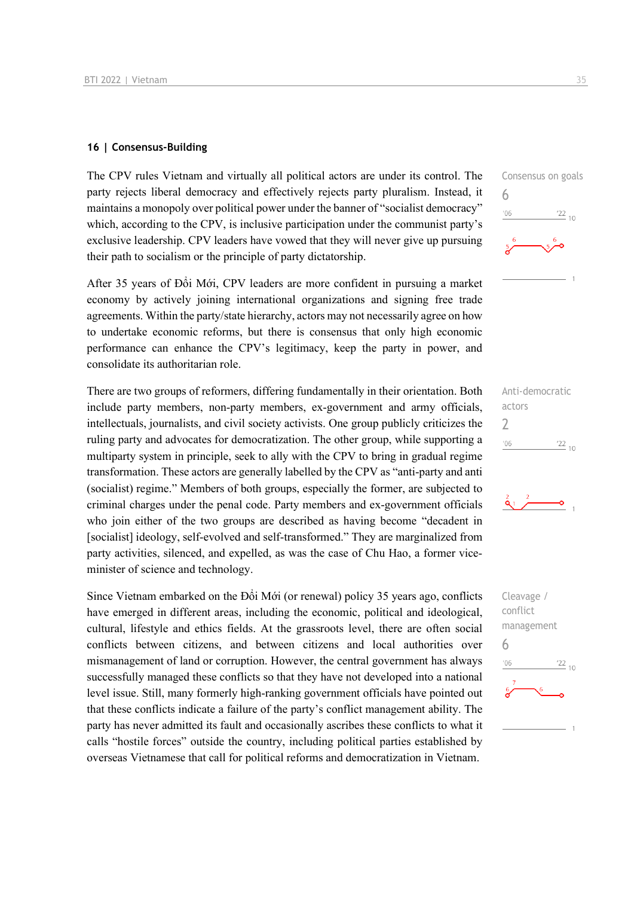#### **16 | Consensus-Building**

The CPV rules Vietnam and virtually all political actors are under its control. The party rejects liberal democracy and effectively rejects party pluralism. Instead, it maintains a monopoly over political power under the banner of "socialist democracy" which, according to the CPV, is inclusive participation under the communist party's exclusive leadership. CPV leaders have vowed that they will never give up pursuing their path to socialism or the principle of party dictatorship.

After 35 years of Đổi Mới, CPV leaders are more confident in pursuing a market economy by actively joining international organizations and signing free trade agreements. Within the party/state hierarchy, actors may not necessarily agree on how to undertake economic reforms, but there is consensus that only high economic performance can enhance the CPV's legitimacy, keep the party in power, and consolidate its authoritarian role.

There are two groups of reformers, differing fundamentally in their orientation. Both include party members, non-party members, ex-government and army officials, intellectuals, journalists, and civil society activists. One group publicly criticizes the ruling party and advocates for democratization. The other group, while supporting a multiparty system in principle, seek to ally with the CPV to bring in gradual regime transformation. These actors are generally labelled by the CPV as "anti-party and anti (socialist) regime." Members of both groups, especially the former, are subjected to criminal charges under the penal code. Party members and ex-government officials who join either of the two groups are described as having become "decadent in [socialist] ideology, self-evolved and self-transformed." They are marginalized from party activities, silenced, and expelled, as was the case of Chu Hao, a former viceminister of science and technology.

Since Vietnam embarked on the Đổi Mới (or renewal) policy 35 years ago, conflicts have emerged in different areas, including the economic, political and ideological, cultural, lifestyle and ethics fields. At the grassroots level, there are often social conflicts between citizens, and between citizens and local authorities over mismanagement of land or corruption. However, the central government has always successfully managed these conflicts so that they have not developed into a national level issue. Still, many formerly high-ranking government officials have pointed out that these conflicts indicate a failure of the party's conflict management ability. The party has never admitted its fault and occasionally ascribes these conflicts to what it calls "hostile forces" outside the country, including political parties established by overseas Vietnamese that call for political reforms and democratization in Vietnam.







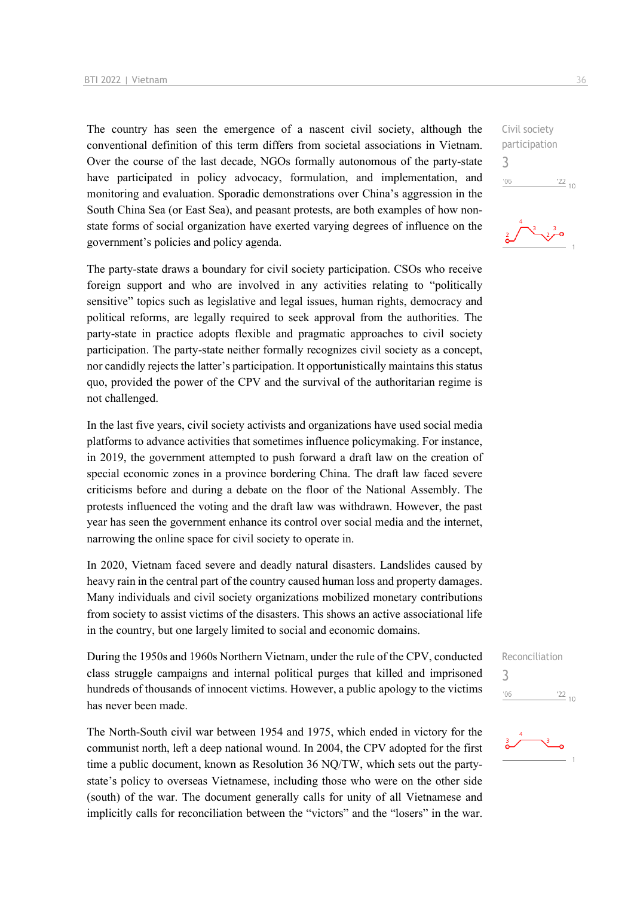The country has seen the emergence of a nascent civil society, although the conventional definition of this term differs from societal associations in Vietnam. Over the course of the last decade, NGOs formally autonomous of the party-state have participated in policy advocacy, formulation, and implementation, and monitoring and evaluation. Sporadic demonstrations over China's aggression in the South China Sea (or East Sea), and peasant protests, are both examples of how nonstate forms of social organization have exerted varying degrees of influence on the government's policies and policy agenda.

The party-state draws a boundary for civil society participation. CSOs who receive foreign support and who are involved in any activities relating to "politically sensitive" topics such as legislative and legal issues, human rights, democracy and political reforms, are legally required to seek approval from the authorities. The party-state in practice adopts flexible and pragmatic approaches to civil society participation. The party-state neither formally recognizes civil society as a concept, nor candidly rejects the latter's participation. It opportunistically maintains this status quo, provided the power of the CPV and the survival of the authoritarian regime is not challenged.

In the last five years, civil society activists and organizations have used social media platforms to advance activities that sometimes influence policymaking. For instance, in 2019, the government attempted to push forward a draft law on the creation of special economic zones in a province bordering China. The draft law faced severe criticisms before and during a debate on the floor of the National Assembly. The protests influenced the voting and the draft law was withdrawn. However, the past year has seen the government enhance its control over social media and the internet, narrowing the online space for civil society to operate in.

In 2020, Vietnam faced severe and deadly natural disasters. Landslides caused by heavy rain in the central part of the country caused human loss and property damages. Many individuals and civil society organizations mobilized monetary contributions from society to assist victims of the disasters. This shows an active associational life in the country, but one largely limited to social and economic domains.

During the 1950s and 1960s Northern Vietnam, under the rule of the CPV, conducted class struggle campaigns and internal political purges that killed and imprisoned hundreds of thousands of innocent victims. However, a public apology to the victims has never been made.

The North-South civil war between 1954 and 1975, which ended in victory for the communist north, left a deep national wound. In 2004, the CPV adopted for the first time a public document, known as Resolution 36 NQ/TW, which sets out the partystate's policy to overseas Vietnamese, including those who were on the other side (south) of the war. The document generally calls for unity of all Vietnamese and implicitly calls for reconciliation between the "victors" and the "losers" in the war.

Civil society participation 3  $-06$  $\frac{22}{10}$ 





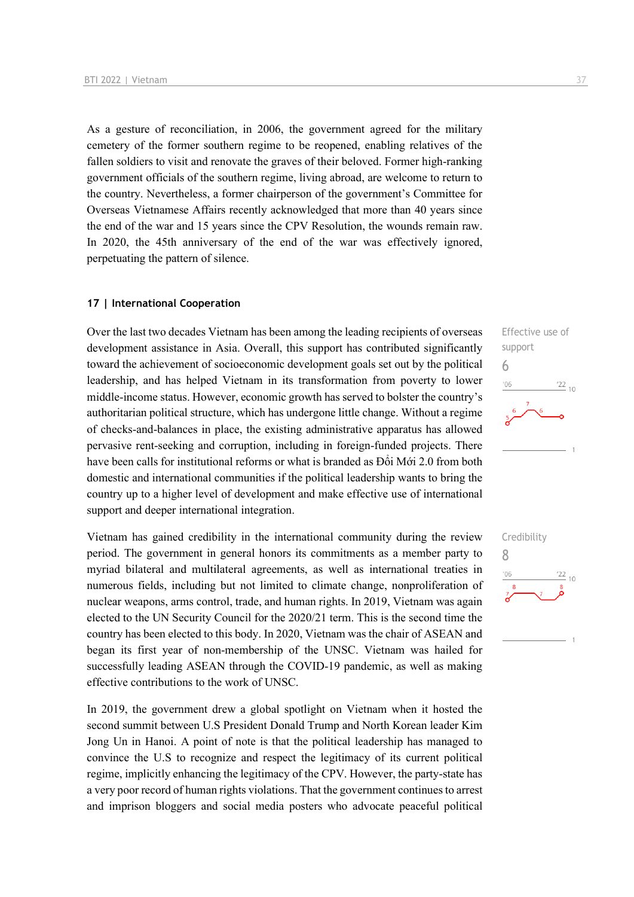As a gesture of reconciliation, in 2006, the government agreed for the military cemetery of the former southern regime to be reopened, enabling relatives of the fallen soldiers to visit and renovate the graves of their beloved. Former high-ranking government officials of the southern regime, living abroad, are welcome to return to the country. Nevertheless, a former chairperson of the government's Committee for Overseas Vietnamese Affairs recently acknowledged that more than 40 years since the end of the war and 15 years since the CPV Resolution, the wounds remain raw. In 2020, the 45th anniversary of the end of the war was effectively ignored, perpetuating the pattern of silence.

#### **17 | International Cooperation**

Over the last two decades Vietnam has been among the leading recipients of overseas development assistance in Asia. Overall, this support has contributed significantly toward the achievement of socioeconomic development goals set out by the political leadership, and has helped Vietnam in its transformation from poverty to lower middle-income status. However, economic growth has served to bolster the country's authoritarian political structure, which has undergone little change. Without a regime of checks-and-balances in place, the existing administrative apparatus has allowed pervasive rent-seeking and corruption, including in foreign-funded projects. There have been calls for institutional reforms or what is branded as Đổi Mới 2.0 from both domestic and international communities if the political leadership wants to bring the country up to a higher level of development and make effective use of international support and deeper international integration.

Vietnam has gained credibility in the international community during the review period. The government in general honors its commitments as a member party to myriad bilateral and multilateral agreements, as well as international treaties in numerous fields, including but not limited to climate change, nonproliferation of nuclear weapons, arms control, trade, and human rights. In 2019, Vietnam was again elected to the UN Security Council for the 2020/21 term. This is the second time the country has been elected to this body. In 2020, Vietnam was the chair of ASEAN and began its first year of non-membership of the UNSC. Vietnam was hailed for successfully leading ASEAN through the COVID-19 pandemic, as well as making effective contributions to the work of UNSC.

In 2019, the government drew a global spotlight on Vietnam when it hosted the second summit between U.S President Donald Trump and North Korean leader Kim Jong Un in Hanoi. A point of note is that the political leadership has managed to convince the U.S to recognize and respect the legitimacy of its current political regime, implicitly enhancing the legitimacy of the CPV. However, the party-state has a very poor record of human rights violations. That the government continues to arrest and imprison bloggers and social media posters who advocate peaceful political



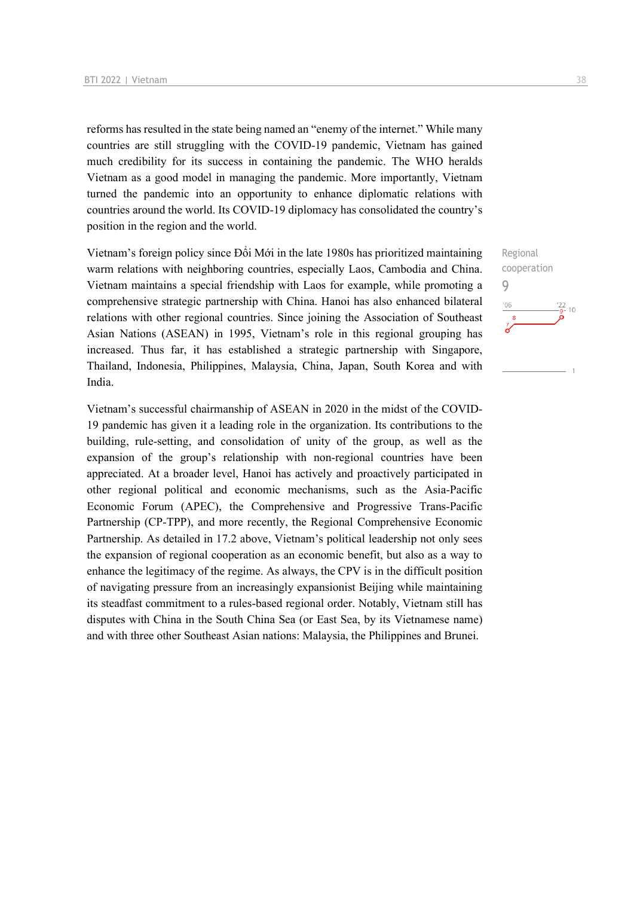reforms has resulted in the state being named an "enemy of the internet." While many countries are still struggling with the COVID-19 pandemic, Vietnam has gained much credibility for its success in containing the pandemic. The WHO heralds Vietnam as a good model in managing the pandemic. More importantly, Vietnam turned the pandemic into an opportunity to enhance diplomatic relations with countries around the world. Its COVID-19 diplomacy has consolidated the country's position in the region and the world.

Vietnam's foreign policy since Đổi Mới in the late 1980s has prioritized maintaining warm relations with neighboring countries, especially Laos, Cambodia and China. Vietnam maintains a special friendship with Laos for example, while promoting a comprehensive strategic partnership with China. Hanoi has also enhanced bilateral relations with other regional countries. Since joining the Association of Southeast Asian Nations (ASEAN) in 1995, Vietnam's role in this regional grouping has increased. Thus far, it has established a strategic partnership with Singapore, Thailand, Indonesia, Philippines, Malaysia, China, Japan, South Korea and with India.

Vietnam's successful chairmanship of ASEAN in 2020 in the midst of the COVID-19 pandemic has given it a leading role in the organization. Its contributions to the building, rule-setting, and consolidation of unity of the group, as well as the expansion of the group's relationship with non-regional countries have been appreciated. At a broader level, Hanoi has actively and proactively participated in other regional political and economic mechanisms, such as the Asia-Pacific Economic Forum (APEC), the Comprehensive and Progressive Trans-Pacific Partnership (CP-TPP), and more recently, the Regional Comprehensive Economic Partnership. As detailed in 17.2 above, Vietnam's political leadership not only sees the expansion of regional cooperation as an economic benefit, but also as a way to enhance the legitimacy of the regime. As always, the CPV is in the difficult position of navigating pressure from an increasingly expansionist Beijing while maintaining its steadfast commitment to a rules-based regional order. Notably, Vietnam still has disputes with China in the South China Sea (or East Sea, by its Vietnamese name) and with three other Southeast Asian nations: Malaysia, the Philippines and Brunei.